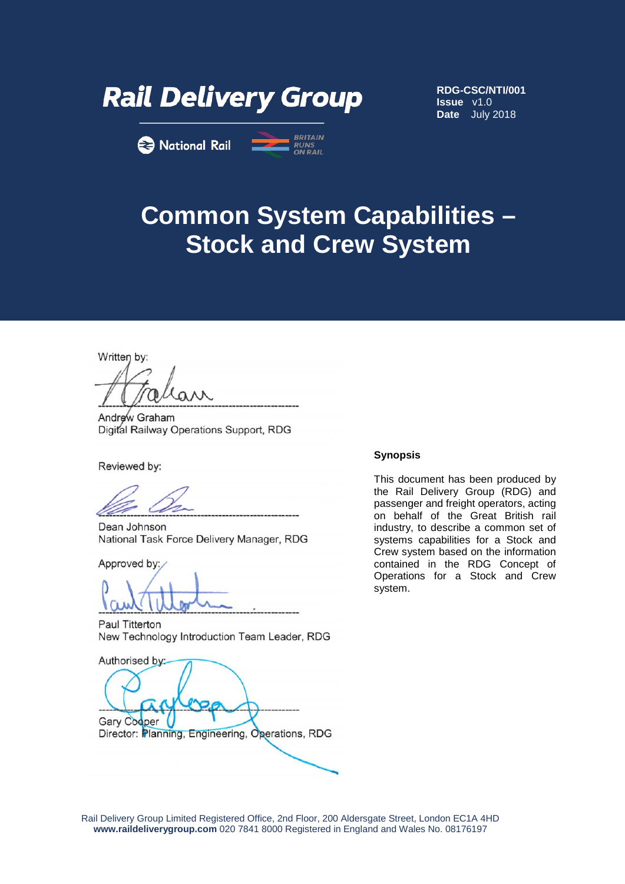

**B** National Rail

**RDG-CSC/NTI/001 Issue** v1.0 **Date** July 2018

## **Common System Capabilities – Stock and Crew System**

**BRITAIN** 

*RUNS*<br> *RUNS*<br> **ON RAIL** 

Written by:

---------------------------------------------------------

Andrew Graham Digital Railway Operations Support, RDG

Reviewed by:

--------------------------------------------------------- Dean Johnson National Task Force Delivery Manager, RDG

Approved by:

---------------------------------------------------------

Paul Titterton New Technology Introduction Team Leader, RDG

Authorised by:  $-449-42$ Gary Cooper Director: Planning, Engineering, Operations, RDG

#### **Synopsis**

This document has been produced by the Rail Delivery Group (RDG) and passenger and freight operators, acting on behalf of the Great British rail industry, to describe a common set of systems capabilities for a Stock and Crew system based on the information contained in the RDG Concept of Operations for a Stock and Crew system.

Rail Delivery Group Limited Registered Office, 2nd Floor, 200 Aldersgate Street, London EC1A 4HD **www.raildeliverygroup.com** 020 7841 8000 Registered in England and Wales No. 08176197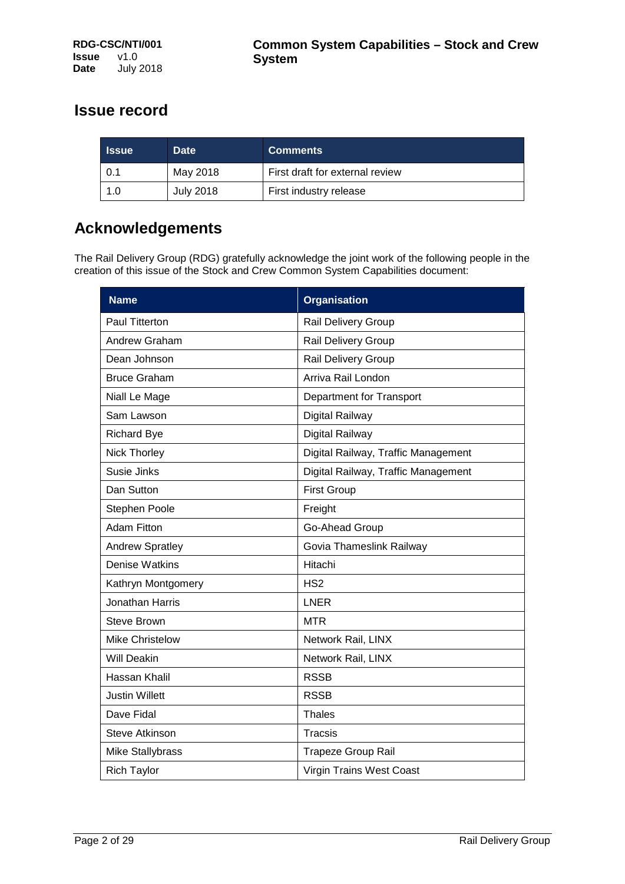## **Issue record**

| Llssue\ | <b>Date</b> | <b>Comments</b>                 |
|---------|-------------|---------------------------------|
| 0.1     | May 2018    | First draft for external review |
| 1.0     | July 2018   | First industry release          |

## **Acknowledgements**

The Rail Delivery Group (RDG) gratefully acknowledge the joint work of the following people in the creation of this issue of the Stock and Crew Common System Capabilities document:

| <b>Name</b>            | <b>Organisation</b>                 |
|------------------------|-------------------------------------|
| Paul Titterton         | Rail Delivery Group                 |
| Andrew Graham          | Rail Delivery Group                 |
| Dean Johnson           | Rail Delivery Group                 |
| <b>Bruce Graham</b>    | Arriva Rail London                  |
| Niall Le Mage          | Department for Transport            |
| Sam Lawson             | <b>Digital Railway</b>              |
| <b>Richard Bye</b>     | <b>Digital Railway</b>              |
| <b>Nick Thorley</b>    | Digital Railway, Traffic Management |
| Susie Jinks            | Digital Railway, Traffic Management |
| Dan Sutton             | <b>First Group</b>                  |
| Stephen Poole          | Freight                             |
| <b>Adam Fitton</b>     | Go-Ahead Group                      |
| <b>Andrew Spratley</b> | Govia Thameslink Railway            |
| <b>Denise Watkins</b>  | Hitachi                             |
| Kathryn Montgomery     | HS <sub>2</sub>                     |
| Jonathan Harris        | <b>LNER</b>                         |
| <b>Steve Brown</b>     | <b>MTR</b>                          |
| <b>Mike Christelow</b> | Network Rail, LINX                  |
| <b>Will Deakin</b>     | Network Rail, LINX                  |
| Hassan Khalil          | <b>RSSB</b>                         |
| <b>Justin Willett</b>  | <b>RSSB</b>                         |
| Dave Fidal             | <b>Thales</b>                       |
| <b>Steve Atkinson</b>  | Tracsis                             |
| Mike Stallybrass       | <b>Trapeze Group Rail</b>           |
| <b>Rich Taylor</b>     | Virgin Trains West Coast            |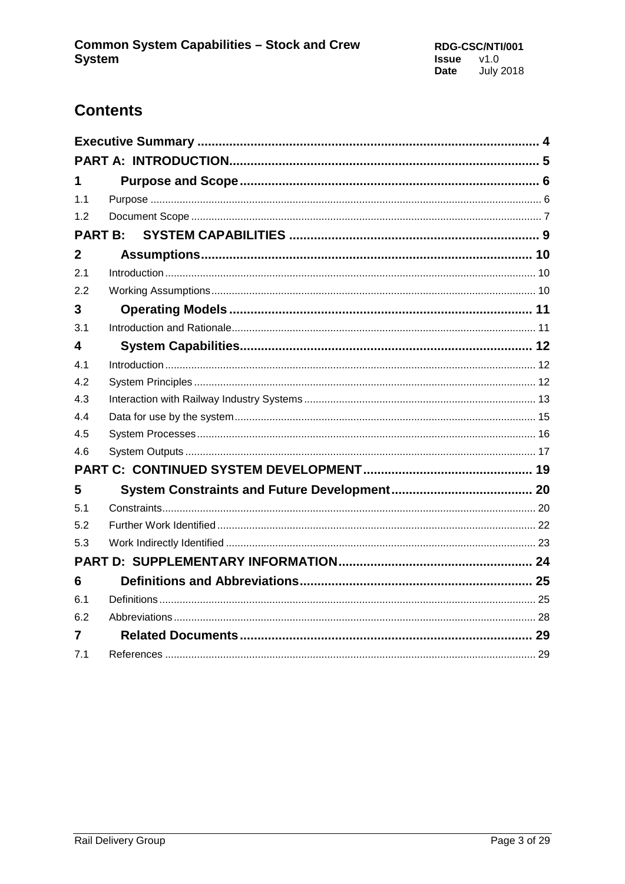## **Contents**

| 1              |  |
|----------------|--|
| 1.1            |  |
| 1.2            |  |
| <b>PART B:</b> |  |
| $\mathbf{2}$   |  |
| 2.1            |  |
| 2.2            |  |
| 3              |  |
| 3.1            |  |
| 4              |  |
| 4.1            |  |
| 4.2            |  |
| 4.3            |  |
| 4.4            |  |
| 4.5            |  |
| 4.6            |  |
|                |  |
| 5              |  |
| 5.1            |  |
| 5.2            |  |
| 5.3            |  |
|                |  |
| 6              |  |
| 6.1            |  |
| 6.2            |  |
| 7              |  |
| 7.1            |  |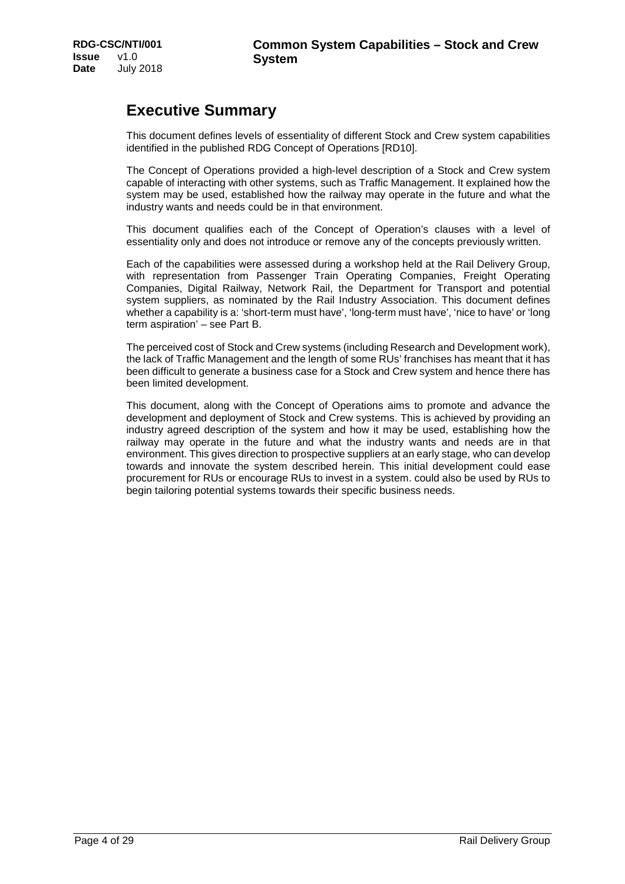## <span id="page-3-0"></span>**Executive Summary**

This document defines levels of essentiality of different Stock and Crew system capabilities identified in the published RDG Concept of Operations [RD10].

The Concept of Operations provided a high-level description of a Stock and Crew system capable of interacting with other systems, such as Traffic Management. It explained how the system may be used, established how the railway may operate in the future and what the industry wants and needs could be in that environment.

This document qualifies each of the Concept of Operation's clauses with a level of essentiality only and does not introduce or remove any of the concepts previously written.

Each of the capabilities were assessed during a workshop held at the Rail Delivery Group, with representation from Passenger Train Operating Companies, Freight Operating Companies, Digital Railway, Network Rail, the Department for Transport and potential system suppliers, as nominated by the Rail Industry Association. This document defines whether a capability is a: 'short-term must have', 'long-term must have', 'nice to have' or 'long term aspiration' – see Part B.

The perceived cost of Stock and Crew systems (including Research and Development work), the lack of Traffic Management and the length of some RUs' franchises has meant that it has been difficult to generate a business case for a Stock and Crew system and hence there has been limited development.

This document, along with the Concept of Operations aims to promote and advance the development and deployment of Stock and Crew systems. This is achieved by providing an industry agreed description of the system and how it may be used, establishing how the railway may operate in the future and what the industry wants and needs are in that environment. This gives direction to prospective suppliers at an early stage, who can develop towards and innovate the system described herein. This initial development could ease procurement for RUs or encourage RUs to invest in a system. could also be used by RUs to begin tailoring potential systems towards their specific business needs.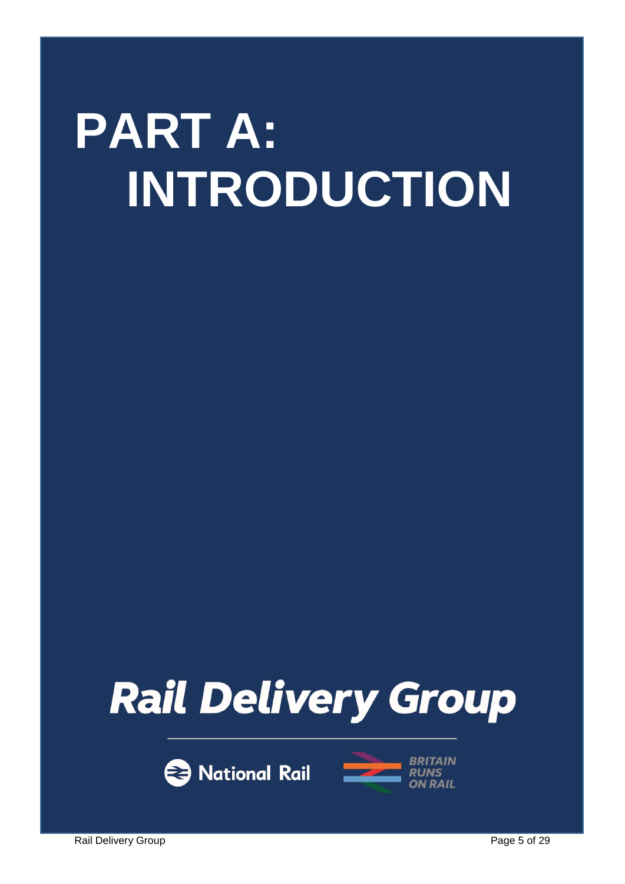## <span id="page-4-0"></span>**PART A: INTRODUCTION**







Rail Delivery Group **Page 5 of 29**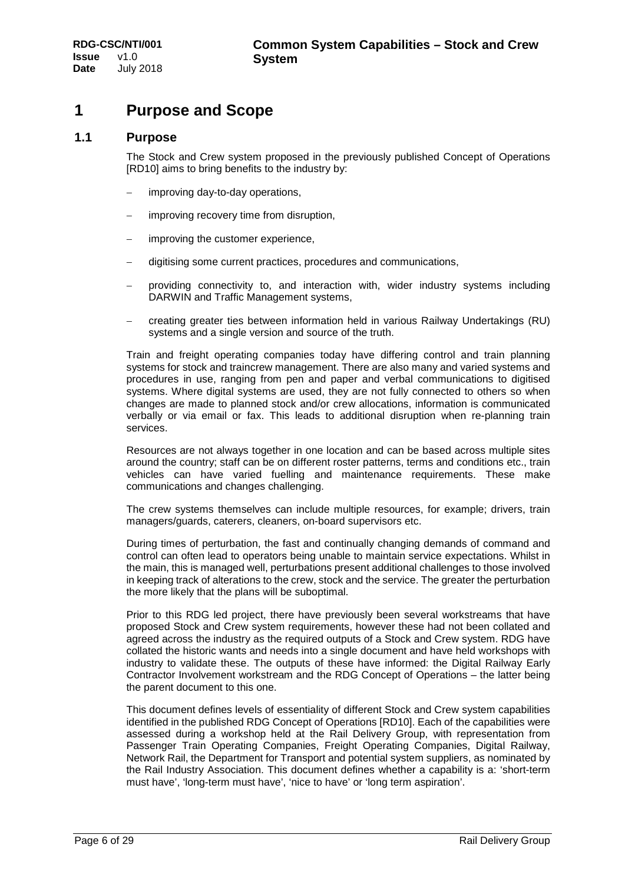## <span id="page-5-0"></span>**1 Purpose and Scope**

#### <span id="page-5-1"></span>**1.1 Purpose**

The Stock and Crew system proposed in the previously published Concept of Operations [RD10] aims to bring benefits to the industry by:

- − improving day-to-day operations,
- improving recovery time from disruption.
- improving the customer experience,
- − digitising some current practices, procedures and communications,
- − providing connectivity to, and interaction with, wider industry systems including DARWIN and Traffic Management systems.
- − creating greater ties between information held in various Railway Undertakings (RU) systems and a single version and source of the truth.

Train and freight operating companies today have differing control and train planning systems for stock and traincrew management. There are also many and varied systems and procedures in use, ranging from pen and paper and verbal communications to digitised systems. Where digital systems are used, they are not fully connected to others so when changes are made to planned stock and/or crew allocations, information is communicated verbally or via email or fax. This leads to additional disruption when re-planning train services.

Resources are not always together in one location and can be based across multiple sites around the country; staff can be on different roster patterns, terms and conditions etc., train vehicles can have varied fuelling and maintenance requirements. These make communications and changes challenging.

The crew systems themselves can include multiple resources, for example; drivers, train managers/guards, caterers, cleaners, on-board supervisors etc.

During times of perturbation, the fast and continually changing demands of command and control can often lead to operators being unable to maintain service expectations. Whilst in the main, this is managed well, perturbations present additional challenges to those involved in keeping track of alterations to the crew, stock and the service. The greater the perturbation the more likely that the plans will be suboptimal.

Prior to this RDG led project, there have previously been several workstreams that have proposed Stock and Crew system requirements, however these had not been collated and agreed across the industry as the required outputs of a Stock and Crew system. RDG have collated the historic wants and needs into a single document and have held workshops with industry to validate these. The outputs of these have informed: the Digital Railway Early Contractor Involvement workstream and the RDG Concept of Operations – the latter being the parent document to this one.

This document defines levels of essentiality of different Stock and Crew system capabilities identified in the published RDG Concept of Operations [RD10]. Each of the capabilities were assessed during a workshop held at the Rail Delivery Group, with representation from Passenger Train Operating Companies, Freight Operating Companies, Digital Railway, Network Rail, the Department for Transport and potential system suppliers, as nominated by the Rail Industry Association. This document defines whether a capability is a: 'short-term must have', 'long-term must have', 'nice to have' or 'long term aspiration'.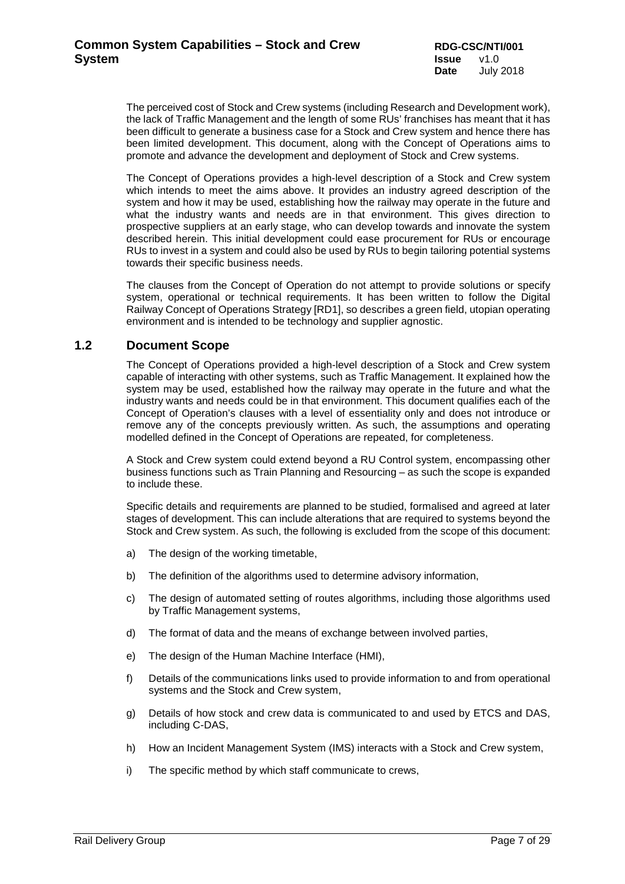The perceived cost of Stock and Crew systems (including Research and Development work), the lack of Traffic Management and the length of some RUs' franchises has meant that it has been difficult to generate a business case for a Stock and Crew system and hence there has been limited development. This document, along with the Concept of Operations aims to promote and advance the development and deployment of Stock and Crew systems.

The Concept of Operations provides a high-level description of a Stock and Crew system which intends to meet the aims above. It provides an industry agreed description of the system and how it may be used, establishing how the railway may operate in the future and what the industry wants and needs are in that environment. This gives direction to prospective suppliers at an early stage, who can develop towards and innovate the system described herein. This initial development could ease procurement for RUs or encourage RUs to invest in a system and could also be used by RUs to begin tailoring potential systems towards their specific business needs.

The clauses from the Concept of Operation do not attempt to provide solutions or specify system, operational or technical requirements. It has been written to follow the Digital Railway Concept of Operations Strategy [\[RD1\],](#page-28-2) so describes a green field, utopian operating environment and is intended to be technology and supplier agnostic.

#### <span id="page-6-0"></span>**1.2 Document Scope**

The Concept of Operations provided a high-level description of a Stock and Crew system capable of interacting with other systems, such as Traffic Management. It explained how the system may be used, established how the railway may operate in the future and what the industry wants and needs could be in that environment. This document qualifies each of the Concept of Operation's clauses with a level of essentiality only and does not introduce or remove any of the concepts previously written. As such, the assumptions and operating modelled defined in the Concept of Operations are repeated, for completeness.

A Stock and Crew system could extend beyond a RU Control system, encompassing other business functions such as Train Planning and Resourcing – as such the scope is expanded to include these.

Specific details and requirements are planned to be studied, formalised and agreed at later stages of development. This can include alterations that are required to systems beyond the Stock and Crew system. As such, the following is excluded from the scope of this document:

- a) The design of the working timetable,
- b) The definition of the algorithms used to determine advisory information,
- c) The design of automated setting of routes algorithms, including those algorithms used by Traffic Management systems,
- d) The format of data and the means of exchange between involved parties,
- e) The design of the Human Machine Interface (HMI),
- f) Details of the communications links used to provide information to and from operational systems and the Stock and Crew system,
- g) Details of how stock and crew data is communicated to and used by ETCS and DAS, including C-DAS,
- h) How an Incident Management System (IMS) interacts with a Stock and Crew system,
- i) The specific method by which staff communicate to crews,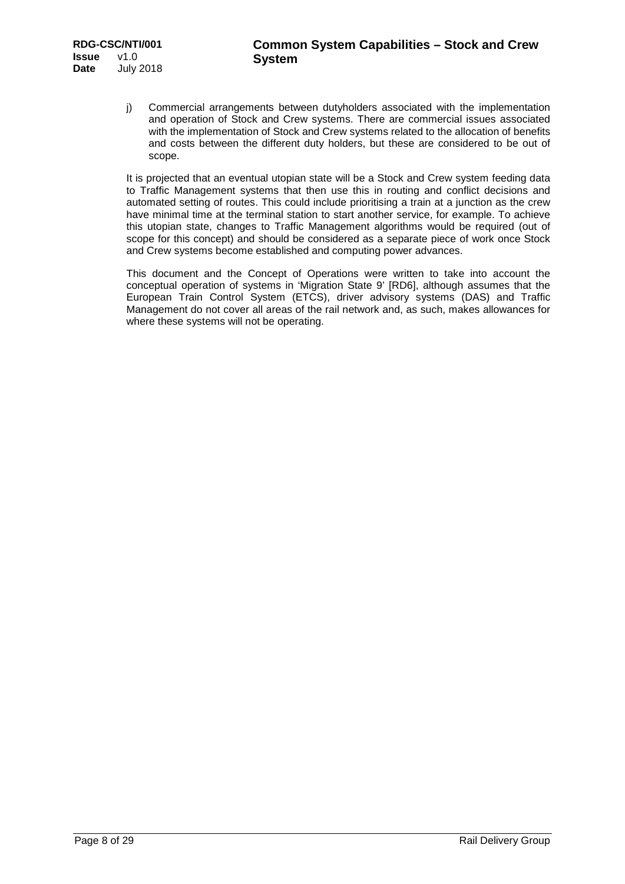j) Commercial arrangements between dutyholders associated with the implementation and operation of Stock and Crew systems. There are commercial issues associated with the implementation of Stock and Crew systems related to the allocation of benefits and costs between the different duty holders, but these are considered to be out of scope.

It is projected that an eventual utopian state will be a Stock and Crew system feeding data to Traffic Management systems that then use this in routing and conflict decisions and automated setting of routes. This could include prioritising a train at a junction as the crew have minimal time at the terminal station to start another service, for example. To achieve this utopian state, changes to Traffic Management algorithms would be required (out of scope for this concept) and should be considered as a separate piece of work once Stock and Crew systems become established and computing power advances.

This document and the Concept of Operations were written to take into account the conceptual operation of systems in 'Migration State 9' [\[RD6\],](#page-28-3) although assumes that the European Train Control System (ETCS), driver advisory systems (DAS) and Traffic Management do not cover all areas of the rail network and, as such, makes allowances for where these systems will not be operating.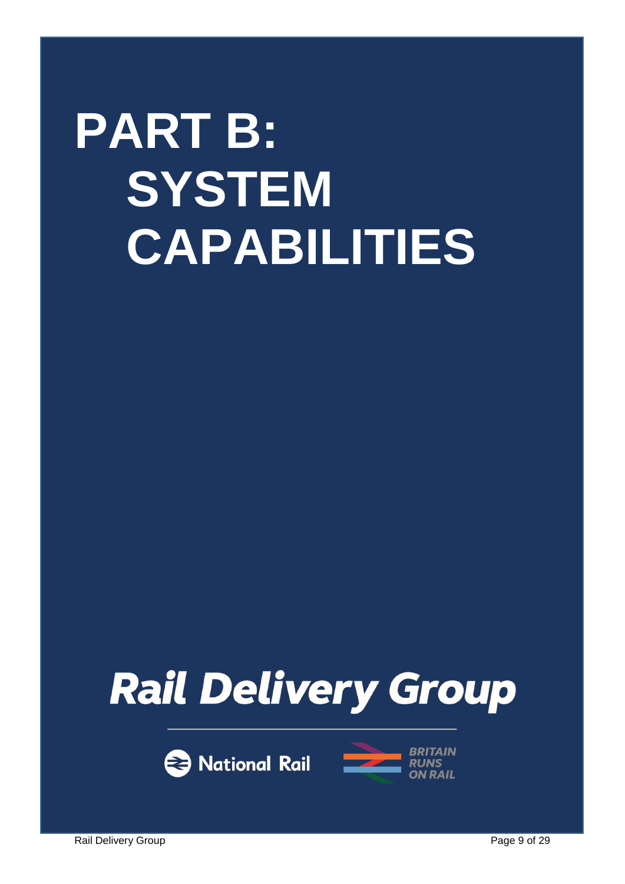# <span id="page-8-0"></span>**PART B: SYSTEM CAPABILITIES**

## **Rail Delivery Group**





Rail Delivery Group **Page 9 of 29**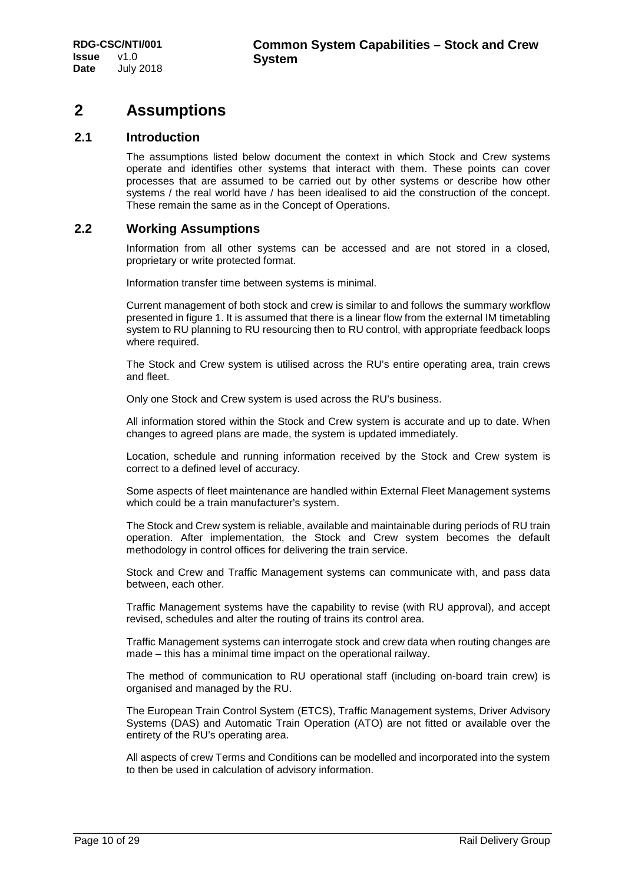## <span id="page-9-0"></span>**2 Assumptions**

#### <span id="page-9-1"></span>**2.1 Introduction**

The assumptions listed below document the context in which Stock and Crew systems operate and identifies other systems that interact with them. These points can cover processes that are assumed to be carried out by other systems or describe how other systems / the real world have / has been idealised to aid the construction of the concept. These remain the same as in the Concept of Operations.

#### <span id="page-9-2"></span>**2.2 Working Assumptions**

Information from all other systems can be accessed and are not stored in a closed, proprietary or write protected format.

Information transfer time between systems is minimal.

Current management of both stock and crew is similar to and follows the summary workflow presented in figure 1. It is assumed that there is a linear flow from the external IM timetabling system to RU planning to RU resourcing then to RU control, with appropriate feedback loops where required.

The Stock and Crew system is utilised across the RU's entire operating area, train crews and fleet.

Only one Stock and Crew system is used across the RU's business.

All information stored within the Stock and Crew system is accurate and up to date. When changes to agreed plans are made, the system is updated immediately.

Location, schedule and running information received by the Stock and Crew system is correct to a defined level of accuracy.

Some aspects of fleet maintenance are handled within External Fleet Management systems which could be a train manufacturer's system.

The Stock and Crew system is reliable, available and maintainable during periods of RU train operation. After implementation, the Stock and Crew system becomes the default methodology in control offices for delivering the train service.

Stock and Crew and Traffic Management systems can communicate with, and pass data between, each other.

Traffic Management systems have the capability to revise (with RU approval), and accept revised, schedules and alter the routing of trains its control area.

Traffic Management systems can interrogate stock and crew data when routing changes are made – this has a minimal time impact on the operational railway.

The method of communication to RU operational staff (including on-board train crew) is organised and managed by the RU.

The European Train Control System (ETCS), Traffic Management systems, Driver Advisory Systems (DAS) and Automatic Train Operation (ATO) are not fitted or available over the entirety of the RU's operating area.

All aspects of crew Terms and Conditions can be modelled and incorporated into the system to then be used in calculation of advisory information.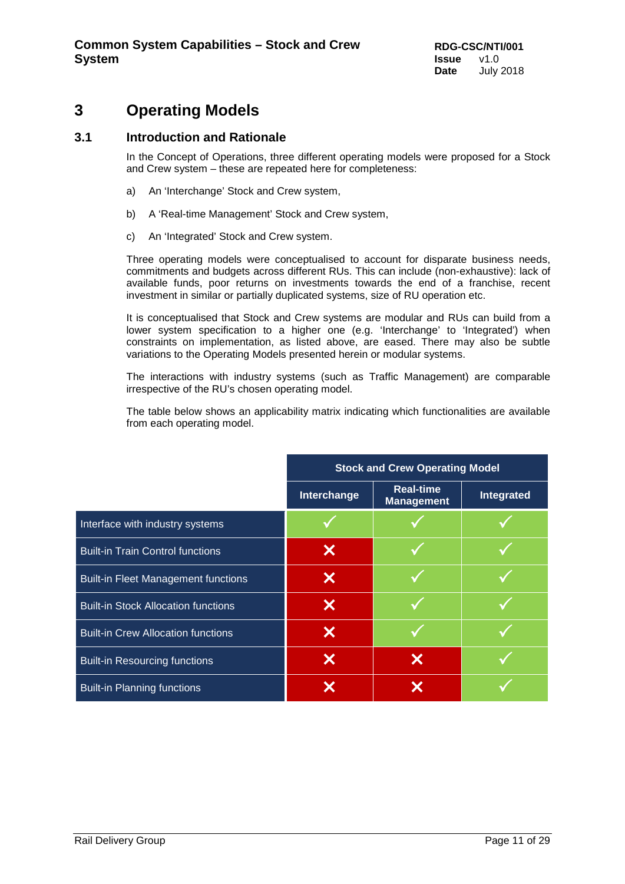## <span id="page-10-0"></span>**3 Operating Models**

#### <span id="page-10-1"></span>**3.1 Introduction and Rationale**

In the Concept of Operations, three different operating models were proposed for a Stock and Crew system – these are repeated here for completeness:

- a) An 'Interchange' Stock and Crew system,
- b) A 'Real-time Management' Stock and Crew system,
- c) An 'Integrated' Stock and Crew system.

Three operating models were conceptualised to account for disparate business needs, commitments and budgets across different RUs. This can include (non-exhaustive): lack of available funds, poor returns on investments towards the end of a franchise, recent investment in similar or partially duplicated systems, size of RU operation etc.

It is conceptualised that Stock and Crew systems are modular and RUs can build from a lower system specification to a higher one (e.g. 'Interchange' to 'Integrated') when constraints on implementation, as listed above, are eased. There may also be subtle variations to the Operating Models presented herein or modular systems.

The interactions with industry systems (such as Traffic Management) are comparable irrespective of the RU's chosen operating model.

The table below shows an applicability matrix indicating which functionalities are available from each operating model.

|                                            | <b>Stock and Crew Operating Model</b> |                                       |            |
|--------------------------------------------|---------------------------------------|---------------------------------------|------------|
|                                            | Interchange                           | <b>Real-time</b><br><b>Management</b> | Integrated |
| Interface with industry systems            |                                       |                                       |            |
| <b>Built-in Train Control functions</b>    | Х                                     |                                       |            |
| <b>Built-in Fleet Management functions</b> | X                                     |                                       |            |
| <b>Built-in Stock Allocation functions</b> | X                                     |                                       |            |
| <b>Built-in Crew Allocation functions</b>  | X                                     |                                       |            |
| <b>Built-in Resourcing functions</b>       | X                                     |                                       |            |
| <b>Built-in Planning functions</b>         |                                       |                                       |            |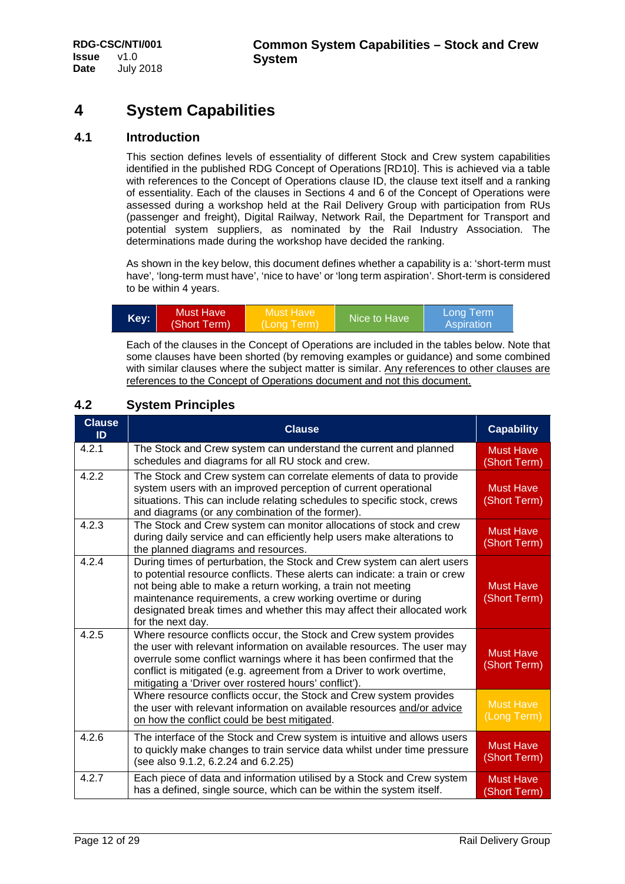## <span id="page-11-0"></span>**4 System Capabilities**

#### <span id="page-11-1"></span>**4.1 Introduction**

This section defines levels of essentiality of different Stock and Crew system capabilities identified in the published RDG Concept of Operations [RD10]. This is achieved via a table with references to the Concept of Operations clause ID, the clause text itself and a ranking of essentiality. Each of the clauses in Sections 4 and 6 of the Concept of Operations were assessed during a workshop held at the Rail Delivery Group with participation from RUs (passenger and freight), Digital Railway, Network Rail, the Department for Transport and potential system suppliers, as nominated by the Rail Industry Association. The determinations made during the workshop have decided the ranking.

As shown in the key below, this document defines whether a capability is a: 'short-term must have', 'long-term must have', 'nice to have' or 'long term aspiration'. Short-term is considered to be within 4 years.

| Key: | Must Have \  | Must Have   | Nice to Have | 'Long Term <sub>i</sub> |
|------|--------------|-------------|--------------|-------------------------|
|      | (Short Term) | (Long Term) |              | Aspiration              |

Each of the clauses in the Concept of Operations are included in the tables below. Note that some clauses have been shorted (by removing examples or guidance) and some combined with similar clauses where the subject matter is similar. Any references to other clauses are references to the Concept of Operations document and not this document.

#### <span id="page-11-2"></span>**4.2 System Principles**

| <b>Clause</b><br>ID | <b>Clause</b>                                                                                                                                                                                                                                                                                                                                                                         | <b>Capability</b>                |
|---------------------|---------------------------------------------------------------------------------------------------------------------------------------------------------------------------------------------------------------------------------------------------------------------------------------------------------------------------------------------------------------------------------------|----------------------------------|
| 4.2.1               | The Stock and Crew system can understand the current and planned<br>schedules and diagrams for all RU stock and crew.                                                                                                                                                                                                                                                                 | <b>Must Have</b><br>(Short Term) |
| 4.2.2               | The Stock and Crew system can correlate elements of data to provide<br>system users with an improved perception of current operational<br>situations. This can include relating schedules to specific stock, crews<br>and diagrams (or any combination of the former).                                                                                                                | <b>Must Have</b><br>(Short Term) |
| 4.2.3               | The Stock and Crew system can monitor allocations of stock and crew<br>during daily service and can efficiently help users make alterations to<br>the planned diagrams and resources.                                                                                                                                                                                                 | <b>Must Have</b><br>(Short Term) |
| 4.2.4               | During times of perturbation, the Stock and Crew system can alert users<br>to potential resource conflicts. These alerts can indicate: a train or crew<br>not being able to make a return working, a train not meeting<br>maintenance requirements, a crew working overtime or during<br>designated break times and whether this may affect their allocated work<br>for the next day. | <b>Must Have</b><br>(Short Term) |
| 4.2.5               | Where resource conflicts occur, the Stock and Crew system provides<br>the user with relevant information on available resources. The user may<br>overrule some conflict warnings where it has been confirmed that the<br>conflict is mitigated (e.g. agreement from a Driver to work overtime,<br>mitigating a 'Driver over rostered hours' conflict').                               | <b>Must Have</b><br>(Short Term) |
|                     | Where resource conflicts occur, the Stock and Crew system provides<br>the user with relevant information on available resources and/or advice<br>on how the conflict could be best mitigated.                                                                                                                                                                                         | <b>Must Have</b><br>(Long Term)  |
| 4.2.6               | The interface of the Stock and Crew system is intuitive and allows users<br>to quickly make changes to train service data whilst under time pressure<br>(see also 9.1.2, 6.2.24 and 6.2.25)                                                                                                                                                                                           | <b>Must Have</b><br>(Short Term) |
| 4.2.7               | Each piece of data and information utilised by a Stock and Crew system<br>has a defined, single source, which can be within the system itself.                                                                                                                                                                                                                                        | <b>Must Have</b><br>(Short Term) |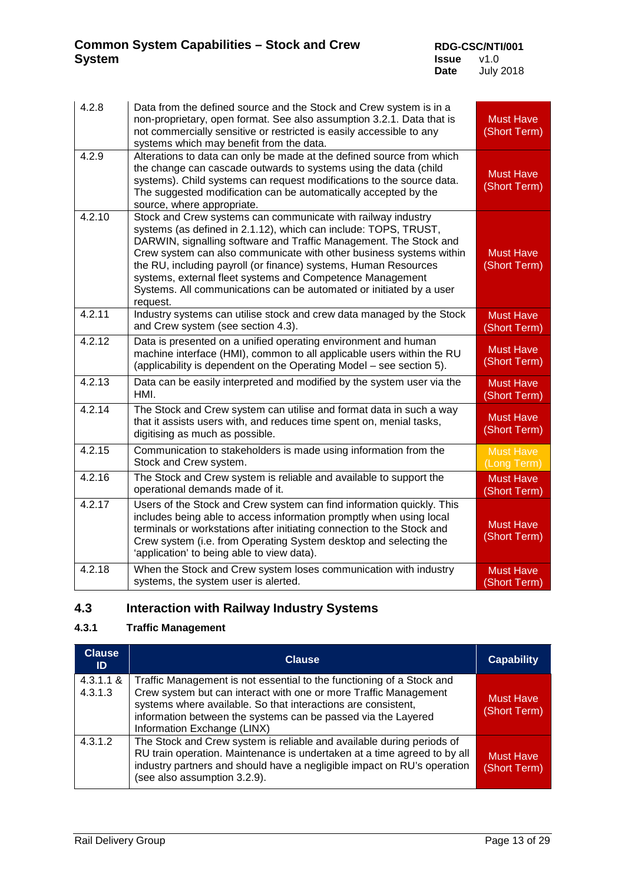### **Common System Capabilities – Stock and Crew System**

**RDG-CSC/NTI/001 Issue** v1.0<br>Date July 2 **Date** July 2018

| 4.2.8  | Data from the defined source and the Stock and Crew system is in a<br>non-proprietary, open format. See also assumption 3.2.1. Data that is<br>not commercially sensitive or restricted is easily accessible to any<br>systems which may benefit from the data.                                                                                                                                                                                                                                | <b>Must Have</b><br>(Short Term) |
|--------|------------------------------------------------------------------------------------------------------------------------------------------------------------------------------------------------------------------------------------------------------------------------------------------------------------------------------------------------------------------------------------------------------------------------------------------------------------------------------------------------|----------------------------------|
| 4.2.9  | Alterations to data can only be made at the defined source from which<br>the change can cascade outwards to systems using the data (child<br>systems). Child systems can request modifications to the source data.<br>The suggested modification can be automatically accepted by the<br>source, where appropriate.                                                                                                                                                                            | <b>Must Have</b><br>(Short Term) |
| 4.2.10 | Stock and Crew systems can communicate with railway industry<br>systems (as defined in 2.1.12), which can include: TOPS, TRUST,<br>DARWIN, signalling software and Traffic Management. The Stock and<br>Crew system can also communicate with other business systems within<br>the RU, including payroll (or finance) systems, Human Resources<br>systems, external fleet systems and Competence Management<br>Systems. All communications can be automated or initiated by a user<br>request. | <b>Must Have</b><br>(Short Term) |
| 4.2.11 | Industry systems can utilise stock and crew data managed by the Stock<br>and Crew system (see section 4.3).                                                                                                                                                                                                                                                                                                                                                                                    | <b>Must Have</b><br>(Short Term) |
| 4.2.12 | Data is presented on a unified operating environment and human<br>machine interface (HMI), common to all applicable users within the RU<br>(applicability is dependent on the Operating Model – see section 5).                                                                                                                                                                                                                                                                                | <b>Must Have</b><br>(Short Term) |
| 4.2.13 | Data can be easily interpreted and modified by the system user via the<br>HMI.                                                                                                                                                                                                                                                                                                                                                                                                                 | <b>Must Have</b><br>(Short Term) |
| 4.2.14 | The Stock and Crew system can utilise and format data in such a way<br>that it assists users with, and reduces time spent on, menial tasks,<br>digitising as much as possible.                                                                                                                                                                                                                                                                                                                 | <b>Must Have</b><br>(Short Term) |
| 4.2.15 | Communication to stakeholders is made using information from the<br>Stock and Crew system.                                                                                                                                                                                                                                                                                                                                                                                                     | <b>Must Have</b><br>(Long Term)  |
| 4.2.16 | The Stock and Crew system is reliable and available to support the<br>operational demands made of it.                                                                                                                                                                                                                                                                                                                                                                                          | <b>Must Have</b><br>(Short Term) |
| 4.2.17 | Users of the Stock and Crew system can find information quickly. This<br>includes being able to access information promptly when using local<br>terminals or workstations after initiating connection to the Stock and<br>Crew system (i.e. from Operating System desktop and selecting the<br>'application' to being able to view data).                                                                                                                                                      | <b>Must Have</b><br>(Short Term) |
| 4.2.18 | When the Stock and Crew system loses communication with industry<br>systems, the system user is alerted.                                                                                                                                                                                                                                                                                                                                                                                       | <b>Must Have</b><br>(Short Term) |

## <span id="page-12-0"></span>**4.3 Interaction with Railway Industry Systems**

#### **4.3.1 Traffic Management**

| <b>Clause</b><br><b>ID</b> | <b>Clause</b>                                                                                                                                                                                                                                                                                              | <b>Capability</b>                |
|----------------------------|------------------------------------------------------------------------------------------------------------------------------------------------------------------------------------------------------------------------------------------------------------------------------------------------------------|----------------------------------|
| $4.3.1.1 \&$<br>4.3.1.3    | Traffic Management is not essential to the functioning of a Stock and<br>Crew system but can interact with one or more Traffic Management<br>systems where available. So that interactions are consistent,<br>information between the systems can be passed via the Layered<br>Information Exchange (LINX) | <b>Must Have</b><br>(Short Term) |
| 4.3.1.2                    | The Stock and Crew system is reliable and available during periods of<br>RU train operation. Maintenance is undertaken at a time agreed to by all<br>industry partners and should have a negligible impact on RU's operation<br>(see also assumption 3.2.9).                                               | <b>Must Have</b><br>(Short Term) |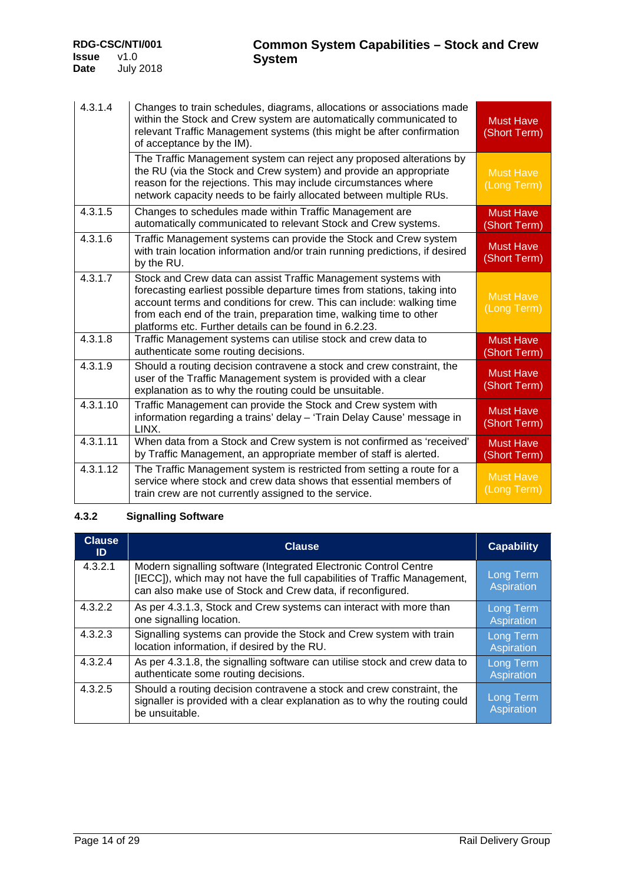**Issue** v1.0<br>Date July 2 **Date** July 2018

| 4.3.1.4  | Changes to train schedules, diagrams, allocations or associations made<br>within the Stock and Crew system are automatically communicated to<br>relevant Traffic Management systems (this might be after confirmation<br>of acceptance by the IM).                                                                                                   | <b>Must Have</b><br>(Short Term) |
|----------|------------------------------------------------------------------------------------------------------------------------------------------------------------------------------------------------------------------------------------------------------------------------------------------------------------------------------------------------------|----------------------------------|
|          | The Traffic Management system can reject any proposed alterations by<br>the RU (via the Stock and Crew system) and provide an appropriate<br>reason for the rejections. This may include circumstances where<br>network capacity needs to be fairly allocated between multiple RUs.                                                                  | <b>Must Have</b><br>(Long Term)  |
| 4.3.1.5  | Changes to schedules made within Traffic Management are<br>automatically communicated to relevant Stock and Crew systems.                                                                                                                                                                                                                            | <b>Must Have</b><br>(Short Term) |
| 4.3.1.6  | Traffic Management systems can provide the Stock and Crew system<br>with train location information and/or train running predictions, if desired<br>by the RU.                                                                                                                                                                                       | <b>Must Have</b><br>(Short Term) |
| 4.3.1.7  | Stock and Crew data can assist Traffic Management systems with<br>forecasting earliest possible departure times from stations, taking into<br>account terms and conditions for crew. This can include: walking time<br>from each end of the train, preparation time, walking time to other<br>platforms etc. Further details can be found in 6.2.23. | <b>Must Have</b><br>(Long Term)  |
| 4.3.1.8  | Traffic Management systems can utilise stock and crew data to<br>authenticate some routing decisions.                                                                                                                                                                                                                                                | <b>Must Have</b><br>(Short Term) |
| 4.3.1.9  | Should a routing decision contravene a stock and crew constraint, the<br>user of the Traffic Management system is provided with a clear<br>explanation as to why the routing could be unsuitable.                                                                                                                                                    | <b>Must Have</b><br>(Short Term) |
| 4.3.1.10 | Traffic Management can provide the Stock and Crew system with<br>information regarding a trains' delay - 'Train Delay Cause' message in<br>LINX.                                                                                                                                                                                                     | <b>Must Have</b><br>(Short Term) |
| 4.3.1.11 | When data from a Stock and Crew system is not confirmed as 'received'<br>by Traffic Management, an appropriate member of staff is alerted.                                                                                                                                                                                                           | <b>Must Have</b><br>(Short Term) |
| 4.3.1.12 | The Traffic Management system is restricted from setting a route for a<br>service where stock and crew data shows that essential members of<br>train crew are not currently assigned to the service.                                                                                                                                                 | <b>Must Have</b><br>(Long Term)  |

### **4.3.2 Signalling Software**

| <b>Clause</b><br>ID | <b>Clause</b>                                                                                                                                                                                              | <b>Capability</b>              |
|---------------------|------------------------------------------------------------------------------------------------------------------------------------------------------------------------------------------------------------|--------------------------------|
| 4.3.2.1             | Modern signalling software (Integrated Electronic Control Centre<br>[IECC]), which may not have the full capabilities of Traffic Management,<br>can also make use of Stock and Crew data, if reconfigured. | Long Term<br>Aspiration        |
| 4.3.2.2             | As per 4.3.1.3, Stock and Crew systems can interact with more than<br>one signalling location.                                                                                                             | <b>Long Term</b><br>Aspiration |
| 4.3.2.3             | Signalling systems can provide the Stock and Crew system with train<br>location information, if desired by the RU.                                                                                         | <b>Long Term</b><br>Aspiration |
| 4.3.2.4             | As per 4.3.1.8, the signalling software can utilise stock and crew data to<br>authenticate some routing decisions.                                                                                         | Long Term<br>Aspiration        |
| 4.3.2.5             | Should a routing decision contravene a stock and crew constraint, the<br>signaller is provided with a clear explanation as to why the routing could<br>be unsuitable.                                      | Long Term<br>Aspiration        |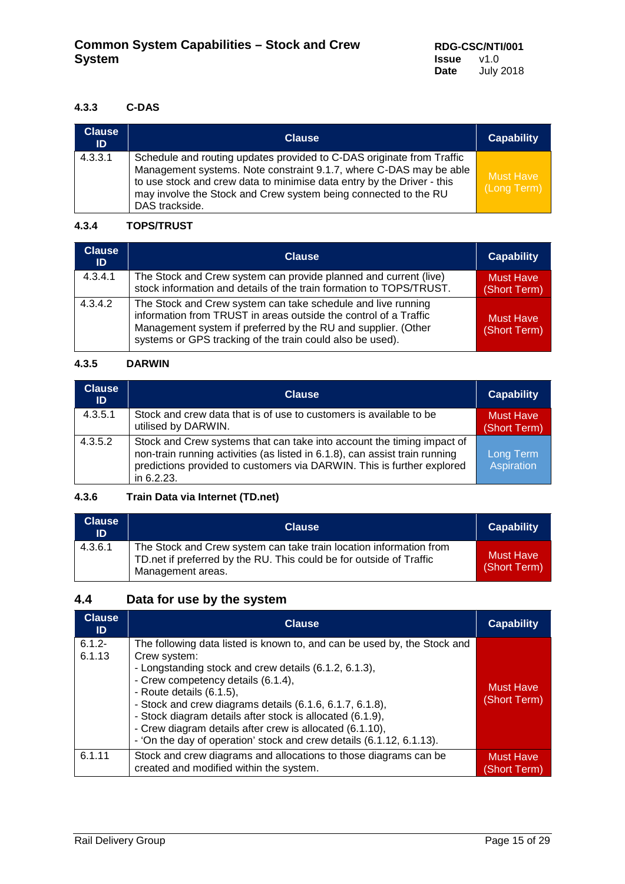#### **4.3.3 C-DAS**

| <b>Clause</b><br>ID. | <b>Clause</b>                                                                                                                                                                                                                                                                                              | <b>Capability</b>        |
|----------------------|------------------------------------------------------------------------------------------------------------------------------------------------------------------------------------------------------------------------------------------------------------------------------------------------------------|--------------------------|
| 4.3.3.1              | Schedule and routing updates provided to C-DAS originate from Traffic<br>Management systems. Note constraint 9.1.7, where C-DAS may be able<br>to use stock and crew data to minimise data entry by the Driver - this<br>may involve the Stock and Crew system being connected to the RU<br>DAS trackside. | Must Have<br>(Long Term) |

#### **4.3.4 TOPS/TRUST**

| <b>Clause</b><br>ID. | <b>Clause</b>                                                                                                                                                                                                                                                  | <b>Capability</b>                |
|----------------------|----------------------------------------------------------------------------------------------------------------------------------------------------------------------------------------------------------------------------------------------------------------|----------------------------------|
| 4.3.4.1              | The Stock and Crew system can provide planned and current (live)<br>stock information and details of the train formation to TOPS/TRUST.                                                                                                                        | <b>Must Have</b><br>(Short Term) |
| 4.3.4.2              | The Stock and Crew system can take schedule and live running<br>information from TRUST in areas outside the control of a Traffic<br>Management system if preferred by the RU and supplier. (Other<br>systems or GPS tracking of the train could also be used). | <b>Must Have</b><br>(Short Term) |

#### **4.3.5 DARWIN**

| <b>Clause</b><br>ID | <b>Clause</b>                                                                                                                                                                                                                                 | <b>Capability</b>                |
|---------------------|-----------------------------------------------------------------------------------------------------------------------------------------------------------------------------------------------------------------------------------------------|----------------------------------|
| 4.3.5.1             | Stock and crew data that is of use to customers is available to be<br>utilised by DARWIN.                                                                                                                                                     | <b>Must Have</b><br>(Short Term) |
| 4.3.5.2             | Stock and Crew systems that can take into account the timing impact of<br>non-train running activities (as listed in 6.1.8), can assist train running<br>predictions provided to customers via DARWIN. This is further explored<br>in 6.2.23. | Long Term<br>Aspiration          |

#### **4.3.6 Train Data via Internet (TD.net)**

| <b>Clause</b><br>ID | <b>Clause</b>                                                                                                                                                  | <b>Capability</b>         |
|---------------------|----------------------------------------------------------------------------------------------------------------------------------------------------------------|---------------------------|
| 4.3.6.1             | The Stock and Crew system can take train location information from<br>TD net if preferred by the RU. This could be for outside of Traffic<br>Management areas. | Must Have<br>(Short Term) |

## <span id="page-14-0"></span>**4.4 Data for use by the system**

| <b>Clause</b><br>ID | <b>Clause</b>                                                                                                                                                                                                                                                                                                                                                                                                                                                                    | <b>Capability</b>                |
|---------------------|----------------------------------------------------------------------------------------------------------------------------------------------------------------------------------------------------------------------------------------------------------------------------------------------------------------------------------------------------------------------------------------------------------------------------------------------------------------------------------|----------------------------------|
| $6.1.2 -$<br>6.1.13 | The following data listed is known to, and can be used by, the Stock and<br>Crew system:<br>- Longstanding stock and crew details (6.1.2, 6.1.3),<br>- Crew competency details (6.1.4),<br>- Route details (6.1.5),<br>- Stock and crew diagrams details (6.1.6, 6.1.7, 6.1.8),<br>- Stock diagram details after stock is allocated (6.1.9),<br>- Crew diagram details after crew is allocated (6.1.10),<br>- 'On the day of operation' stock and crew details (6.1.12, 6.1.13). | <b>Must Have</b><br>(Short Term) |
| 6.1.11              | Stock and crew diagrams and allocations to those diagrams can be<br>created and modified within the system.                                                                                                                                                                                                                                                                                                                                                                      | <b>Must Have</b><br>Short Term)  |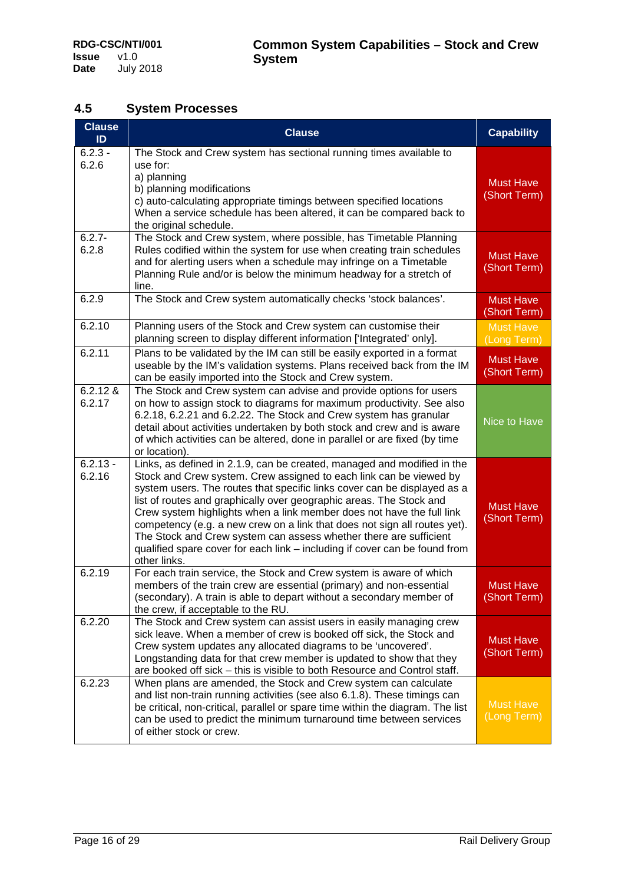### <span id="page-15-0"></span>**4.5 System Processes**

| <b>Clause</b><br>ID  | <b>Clause</b>                                                                                                                                                                                                                                                                                                                                                                                                                                                                                                                                                                                                             | <b>Capability</b>                |
|----------------------|---------------------------------------------------------------------------------------------------------------------------------------------------------------------------------------------------------------------------------------------------------------------------------------------------------------------------------------------------------------------------------------------------------------------------------------------------------------------------------------------------------------------------------------------------------------------------------------------------------------------------|----------------------------------|
| $6.2.3 -$<br>6.2.6   | The Stock and Crew system has sectional running times available to<br>use for:<br>a) planning<br>b) planning modifications<br>c) auto-calculating appropriate timings between specified locations<br>When a service schedule has been altered, it can be compared back to<br>the original schedule.                                                                                                                                                                                                                                                                                                                       | <b>Must Have</b><br>(Short Term) |
| $6.2.7 -$<br>6.2.8   | The Stock and Crew system, where possible, has Timetable Planning<br>Rules codified within the system for use when creating train schedules<br>and for alerting users when a schedule may infringe on a Timetable<br>Planning Rule and/or is below the minimum headway for a stretch of<br>line.                                                                                                                                                                                                                                                                                                                          | <b>Must Have</b><br>(Short Term) |
| 6.2.9                | The Stock and Crew system automatically checks 'stock balances'.                                                                                                                                                                                                                                                                                                                                                                                                                                                                                                                                                          | <b>Must Have</b><br>(Short Term) |
| 6.2.10               | Planning users of the Stock and Crew system can customise their<br>planning screen to display different information ['Integrated' only].                                                                                                                                                                                                                                                                                                                                                                                                                                                                                  | <b>Must Have</b><br>(Long Term)  |
| 6.2.11               | Plans to be validated by the IM can still be easily exported in a format<br>useable by the IM's validation systems. Plans received back from the IM<br>can be easily imported into the Stock and Crew system.                                                                                                                                                                                                                                                                                                                                                                                                             | <b>Must Have</b><br>(Short Term) |
| 6.2.12 &<br>6.2.17   | The Stock and Crew system can advise and provide options for users<br>on how to assign stock to diagrams for maximum productivity. See also<br>6.2.18, 6.2.21 and 6.2.22. The Stock and Crew system has granular<br>detail about activities undertaken by both stock and crew and is aware<br>of which activities can be altered, done in parallel or are fixed (by time<br>or location).                                                                                                                                                                                                                                 | Nice to Have                     |
| $6.2.13 -$<br>6.2.16 | Links, as defined in 2.1.9, can be created, managed and modified in the<br>Stock and Crew system. Crew assigned to each link can be viewed by<br>system users. The routes that specific links cover can be displayed as a<br>list of routes and graphically over geographic areas. The Stock and<br>Crew system highlights when a link member does not have the full link<br>competency (e.g. a new crew on a link that does not sign all routes yet).<br>The Stock and Crew system can assess whether there are sufficient<br>qualified spare cover for each link - including if cover can be found from<br>other links. | <b>Must Have</b><br>(Short Term) |
| 6.2.19               | For each train service, the Stock and Crew system is aware of which<br>members of the train crew are essential (primary) and non-essential<br>(secondary). A train is able to depart without a secondary member of<br>the crew, if acceptable to the RU.                                                                                                                                                                                                                                                                                                                                                                  | <b>Must Have</b><br>(Short Term) |
| 6.2.20               | The Stock and Crew system can assist users in easily managing crew<br>sick leave. When a member of crew is booked off sick, the Stock and<br>Crew system updates any allocated diagrams to be 'uncovered'.<br>Longstanding data for that crew member is updated to show that they<br>are booked off sick - this is visible to both Resource and Control staff.                                                                                                                                                                                                                                                            | <b>Must Have</b><br>(Short Term) |
| 6.2.23               | When plans are amended, the Stock and Crew system can calculate<br>and list non-train running activities (see also 6.1.8). These timings can<br>be critical, non-critical, parallel or spare time within the diagram. The list<br>can be used to predict the minimum turnaround time between services<br>of either stock or crew.                                                                                                                                                                                                                                                                                         | <b>Must Have</b><br>(Long Term)  |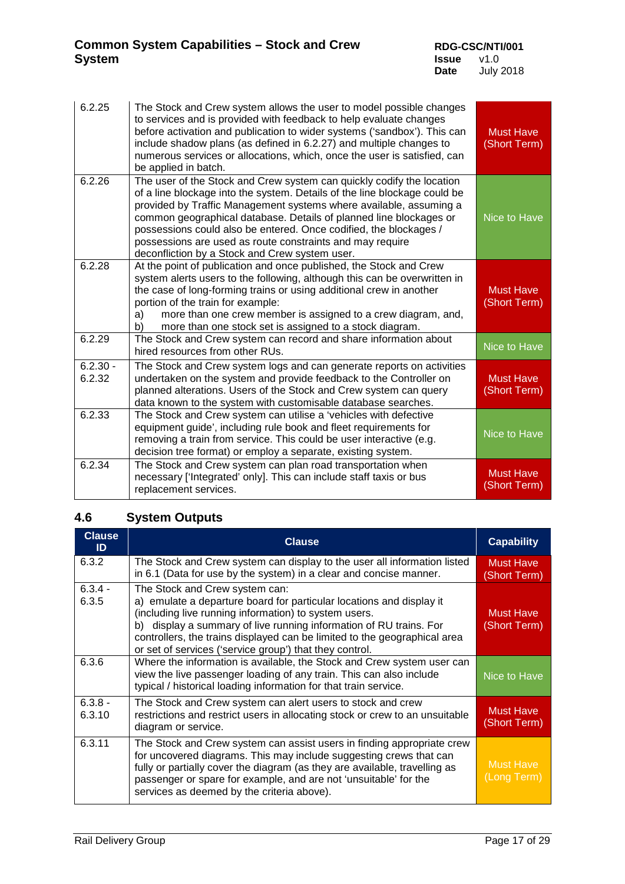### **Common System Capabilities – Stock and Crew System**

**RDG-CSC/NTI/001 Issue** v1.0<br>Date July 2 **Date** July 2018

| 6.2.25               | The Stock and Crew system allows the user to model possible changes<br>to services and is provided with feedback to help evaluate changes<br>before activation and publication to wider systems ('sandbox'). This can<br>include shadow plans (as defined in 6.2.27) and multiple changes to<br>numerous services or allocations, which, once the user is satisfied, can<br>be applied in batch.                                                                                   | <b>Must Have</b><br>(Short Term) |
|----------------------|------------------------------------------------------------------------------------------------------------------------------------------------------------------------------------------------------------------------------------------------------------------------------------------------------------------------------------------------------------------------------------------------------------------------------------------------------------------------------------|----------------------------------|
| 6.2.26               | The user of the Stock and Crew system can quickly codify the location<br>of a line blockage into the system. Details of the line blockage could be<br>provided by Traffic Management systems where available, assuming a<br>common geographical database. Details of planned line blockages or<br>possessions could also be entered. Once codified, the blockages /<br>possessions are used as route constraints and may require<br>deconfliction by a Stock and Crew system user. | Nice to Have                     |
| 6.2.28               | At the point of publication and once published, the Stock and Crew<br>system alerts users to the following, although this can be overwritten in<br>the case of long-forming trains or using additional crew in another<br>portion of the train for example:<br>more than one crew member is assigned to a crew diagram, and,<br>a)<br>more than one stock set is assigned to a stock diagram.<br>b)                                                                                | <b>Must Have</b><br>(Short Term) |
| 6.2.29               | The Stock and Crew system can record and share information about<br>hired resources from other RUs.                                                                                                                                                                                                                                                                                                                                                                                | Nice to Have                     |
| $6.2.30 -$<br>6.2.32 | The Stock and Crew system logs and can generate reports on activities<br>undertaken on the system and provide feedback to the Controller on<br>planned alterations. Users of the Stock and Crew system can query<br>data known to the system with customisable database searches.                                                                                                                                                                                                  | <b>Must Have</b><br>(Short Term) |
| 6.2.33               | The Stock and Crew system can utilise a 'vehicles with defective<br>equipment guide', including rule book and fleet requirements for<br>removing a train from service. This could be user interactive (e.g.<br>decision tree format) or employ a separate, existing system.                                                                                                                                                                                                        | Nice to Have                     |
| 6.2.34               | The Stock and Crew system can plan road transportation when<br>necessary ['Integrated' only]. This can include staff taxis or bus<br>replacement services.                                                                                                                                                                                                                                                                                                                         | <b>Must Have</b><br>(Short Term) |

## <span id="page-16-0"></span>**4.6 System Outputs**

| <b>Clause</b><br>ID. | <b>Clause</b>                                                                                                                                                                                                                                                                                                                                                                 | <b>Capability</b>                      |
|----------------------|-------------------------------------------------------------------------------------------------------------------------------------------------------------------------------------------------------------------------------------------------------------------------------------------------------------------------------------------------------------------------------|----------------------------------------|
| 6.3.2                | The Stock and Crew system can display to the user all information listed<br>in 6.1 (Data for use by the system) in a clear and concise manner.                                                                                                                                                                                                                                | <b>Must Have</b><br><b>Short Term)</b> |
| $6.3.4 -$<br>6.3.5   | The Stock and Crew system can:<br>a) emulate a departure board for particular locations and display it<br>(including live running information) to system users.<br>b) display a summary of live running information of RU trains. For<br>controllers, the trains displayed can be limited to the geographical area<br>or set of services ('service group') that they control. | <b>Must Have</b><br>(Short Term)       |
| 6.3.6                | Where the information is available, the Stock and Crew system user can<br>view the live passenger loading of any train. This can also include<br>typical / historical loading information for that train service.                                                                                                                                                             | Nice to Have                           |
| $6.3.8 -$<br>6.3.10  | The Stock and Crew system can alert users to stock and crew<br>restrictions and restrict users in allocating stock or crew to an unsuitable<br>diagram or service.                                                                                                                                                                                                            | <b>Must Have</b><br>(Short Term)       |
| 6.3.11               | The Stock and Crew system can assist users in finding appropriate crew<br>for uncovered diagrams. This may include suggesting crews that can<br>fully or partially cover the diagram (as they are available, travelling as<br>passenger or spare for example, and are not 'unsuitable' for the<br>services as deemed by the criteria above).                                  | <b>Must Have</b><br>(Long Term)        |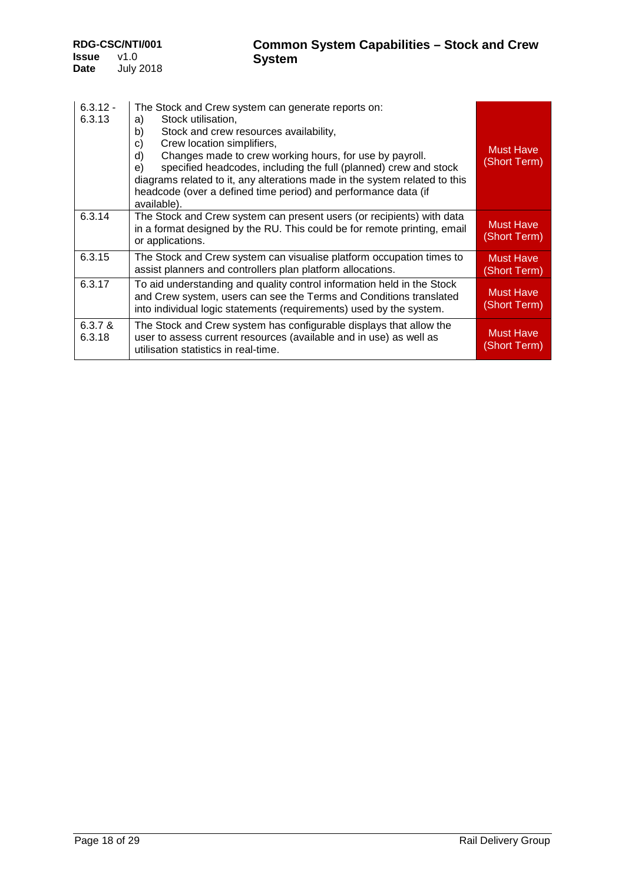| $6.3.12 -$<br>6.3.13 | The Stock and Crew system can generate reports on:<br>Stock utilisation,<br>a)<br>Stock and crew resources availability,<br>b)<br>Crew location simplifiers,<br>C)<br>Changes made to crew working hours, for use by payroll.<br>d)<br>specified headcodes, including the full (planned) crew and stock<br>e)<br>diagrams related to it, any alterations made in the system related to this<br>headcode (over a defined time period) and performance data (if<br>available). | <b>Must Have</b><br>(Short Term) |
|----------------------|------------------------------------------------------------------------------------------------------------------------------------------------------------------------------------------------------------------------------------------------------------------------------------------------------------------------------------------------------------------------------------------------------------------------------------------------------------------------------|----------------------------------|
| 6.3.14               | The Stock and Crew system can present users (or recipients) with data<br>in a format designed by the RU. This could be for remote printing, email<br>or applications.                                                                                                                                                                                                                                                                                                        | <b>Must Have</b><br>(Short Term) |
| 6.3.15               | The Stock and Crew system can visualise platform occupation times to<br>assist planners and controllers plan platform allocations.                                                                                                                                                                                                                                                                                                                                           | <b>Must Have</b><br>(Short Term) |
| 6.3.17               | To aid understanding and quality control information held in the Stock<br>and Crew system, users can see the Terms and Conditions translated<br>into individual logic statements (requirements) used by the system.                                                                                                                                                                                                                                                          | <b>Must Have</b><br>(Short Term) |
| $6.3.7 \&$<br>6.3.18 | The Stock and Crew system has configurable displays that allow the<br>user to assess current resources (available and in use) as well as<br>utilisation statistics in real-time.                                                                                                                                                                                                                                                                                             | <b>Must Have</b><br>(Short Term) |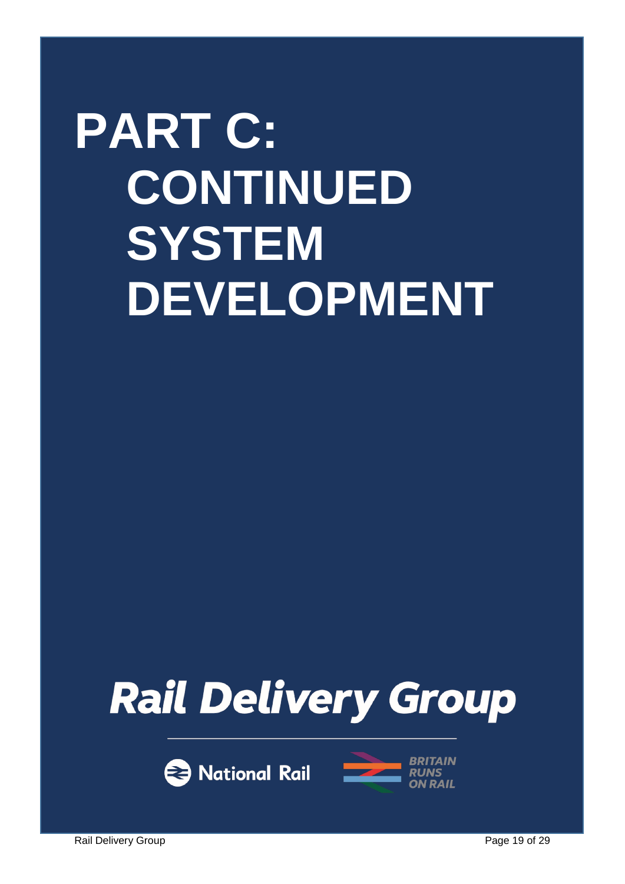# <span id="page-18-0"></span>**PART C: CONTINUED SYSTEM DEVELOPMENT**







Rail Delivery Group **Page 19 of 29**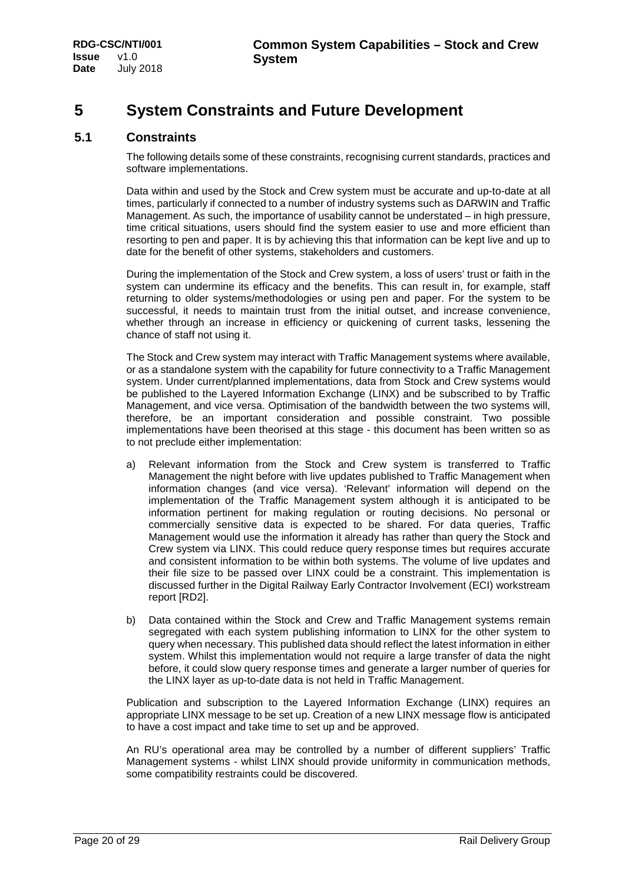## <span id="page-19-0"></span>**5 System Constraints and Future Development**

#### <span id="page-19-1"></span>**5.1 Constraints**

The following details some of these constraints, recognising current standards, practices and software implementations.

Data within and used by the Stock and Crew system must be accurate and up-to-date at all times, particularly if connected to a number of industry systems such as DARWIN and Traffic Management. As such, the importance of usability cannot be understated – in high pressure, time critical situations, users should find the system easier to use and more efficient than resorting to pen and paper. It is by achieving this that information can be kept live and up to date for the benefit of other systems, stakeholders and customers.

During the implementation of the Stock and Crew system, a loss of users' trust or faith in the system can undermine its efficacy and the benefits. This can result in, for example, staff returning to older systems/methodologies or using pen and paper. For the system to be successful, it needs to maintain trust from the initial outset, and increase convenience, whether through an increase in efficiency or quickening of current tasks, lessening the chance of staff not using it.

The Stock and Crew system may interact with Traffic Management systems where available, or as a standalone system with the capability for future connectivity to a Traffic Management system. Under current/planned implementations, data from Stock and Crew systems would be published to the Layered Information Exchange (LINX) and be subscribed to by Traffic Management, and vice versa. Optimisation of the bandwidth between the two systems will, therefore, be an important consideration and possible constraint. Two possible implementations have been theorised at this stage - this document has been written so as to not preclude either implementation:

- a) Relevant information from the Stock and Crew system is transferred to Traffic Management the night before with live updates published to Traffic Management when information changes (and vice versa). 'Relevant' information will depend on the implementation of the Traffic Management system although it is anticipated to be information pertinent for making regulation or routing decisions. No personal or commercially sensitive data is expected to be shared. For data queries, Traffic Management would use the information it already has rather than query the Stock and Crew system via LINX. This could reduce query response times but requires accurate and consistent information to be within both systems. The volume of live updates and their file size to be passed over LINX could be a constraint. This implementation is discussed further in the Digital Railway Early Contractor Involvement (ECI) workstream report [\[RD2\].](#page-28-4)
- b) Data contained within the Stock and Crew and Traffic Management systems remain segregated with each system publishing information to LINX for the other system to query when necessary. This published data should reflect the latest information in either system. Whilst this implementation would not require a large transfer of data the night before, it could slow query response times and generate a larger number of queries for the LINX layer as up-to-date data is not held in Traffic Management.

Publication and subscription to the Layered Information Exchange (LINX) requires an appropriate LINX message to be set up. Creation of a new LINX message flow is anticipated to have a cost impact and take time to set up and be approved.

An RU's operational area may be controlled by a number of different suppliers' Traffic Management systems - whilst LINX should provide uniformity in communication methods, some compatibility restraints could be discovered.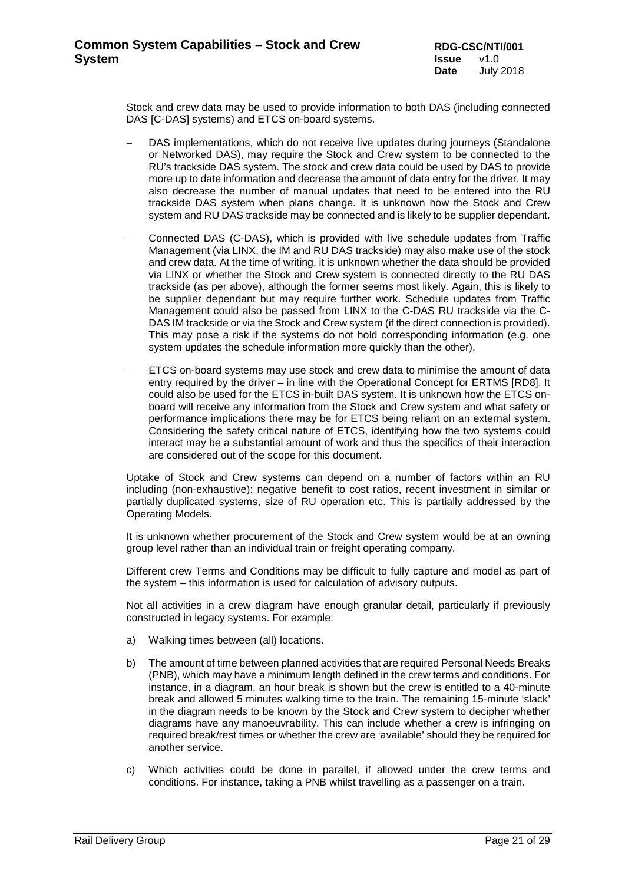Stock and crew data may be used to provide information to both DAS (including connected DAS [C-DAS] systems) and ETCS on-board systems.

- DAS implementations, which do not receive live updates during journeys (Standalone or Networked DAS), may require the Stock and Crew system to be connected to the RU's trackside DAS system. The stock and crew data could be used by DAS to provide more up to date information and decrease the amount of data entry for the driver. It may also decrease the number of manual updates that need to be entered into the RU trackside DAS system when plans change. It is unknown how the Stock and Crew system and RU DAS trackside may be connected and is likely to be supplier dependant.
- − Connected DAS (C-DAS), which is provided with live schedule updates from Traffic Management (via LINX, the IM and RU DAS trackside) may also make use of the stock and crew data. At the time of writing, it is unknown whether the data should be provided via LINX or whether the Stock and Crew system is connected directly to the RU DAS trackside (as per above), although the former seems most likely. Again, this is likely to be supplier dependant but may require further work. Schedule updates from Traffic Management could also be passed from LINX to the C-DAS RU trackside via the C-DAS IM trackside or via the Stock and Crew system (if the direct connection is provided). This may pose a risk if the systems do not hold corresponding information (e.g. one system updates the schedule information more quickly than the other).
- ETCS on-board systems may use stock and crew data to minimise the amount of data entry required by the driver – in line with the Operational Concept for ERTMS [\[RD8\].](#page-28-5) It could also be used for the ETCS in-built DAS system. It is unknown how the ETCS onboard will receive any information from the Stock and Crew system and what safety or performance implications there may be for ETCS being reliant on an external system. Considering the safety critical nature of ETCS, identifying how the two systems could interact may be a substantial amount of work and thus the specifics of their interaction are considered out of the scope for this document.

Uptake of Stock and Crew systems can depend on a number of factors within an RU including (non-exhaustive): negative benefit to cost ratios, recent investment in similar or partially duplicated systems, size of RU operation etc. This is partially addressed by the Operating Models.

It is unknown whether procurement of the Stock and Crew system would be at an owning group level rather than an individual train or freight operating company.

Different crew Terms and Conditions may be difficult to fully capture and model as part of the system – this information is used for calculation of advisory outputs.

Not all activities in a crew diagram have enough granular detail, particularly if previously constructed in legacy systems. For example:

- a) Walking times between (all) locations.
- b) The amount of time between planned activities that are required Personal Needs Breaks (PNB), which may have a minimum length defined in the crew terms and conditions. For instance, in a diagram, an hour break is shown but the crew is entitled to a 40-minute break and allowed 5 minutes walking time to the train. The remaining 15-minute 'slack' in the diagram needs to be known by the Stock and Crew system to decipher whether diagrams have any manoeuvrability. This can include whether a crew is infringing on required break/rest times or whether the crew are 'available' should they be required for another service.
- c) Which activities could be done in parallel, if allowed under the crew terms and conditions. For instance, taking a PNB whilst travelling as a passenger on a train.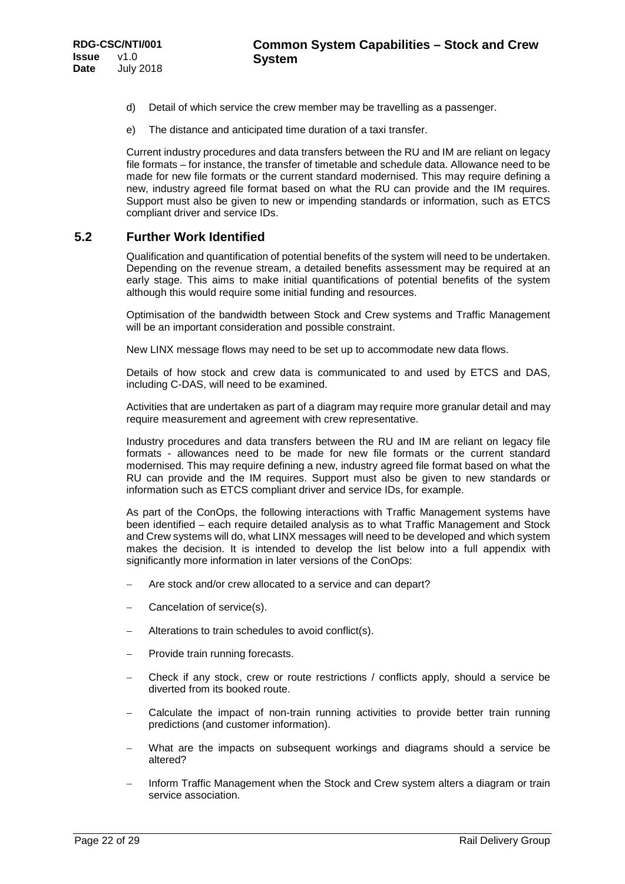- d) Detail of which service the crew member may be travelling as a passenger.
- e) The distance and anticipated time duration of a taxi transfer.

Current industry procedures and data transfers between the RU and IM are reliant on legacy file formats – for instance, the transfer of timetable and schedule data. Allowance need to be made for new file formats or the current standard modernised. This may require defining a new, industry agreed file format based on what the RU can provide and the IM requires. Support must also be given to new or impending standards or information, such as ETCS compliant driver and service IDs.

#### <span id="page-21-0"></span>**5.2 Further Work Identified**

Qualification and quantification of potential benefits of the system will need to be undertaken. Depending on the revenue stream, a detailed benefits assessment may be required at an early stage. This aims to make initial quantifications of potential benefits of the system although this would require some initial funding and resources.

Optimisation of the bandwidth between Stock and Crew systems and Traffic Management will be an important consideration and possible constraint.

New LINX message flows may need to be set up to accommodate new data flows.

Details of how stock and crew data is communicated to and used by ETCS and DAS, including C-DAS, will need to be examined.

Activities that are undertaken as part of a diagram may require more granular detail and may require measurement and agreement with crew representative.

Industry procedures and data transfers between the RU and IM are reliant on legacy file formats - allowances need to be made for new file formats or the current standard modernised. This may require defining a new, industry agreed file format based on what the RU can provide and the IM requires. Support must also be given to new standards or information such as ETCS compliant driver and service IDs, for example.

As part of the ConOps, the following interactions with Traffic Management systems have been identified – each require detailed analysis as to what Traffic Management and Stock and Crew systems will do, what LINX messages will need to be developed and which system makes the decision. It is intended to develop the list below into a full appendix with significantly more information in later versions of the ConOps:

- Are stock and/or crew allocated to a service and can depart?
- Cancelation of service(s).
- Alterations to train schedules to avoid conflict(s).
- − Provide train running forecasts.
- − Check if any stock, crew or route restrictions / conflicts apply, should a service be diverted from its booked route.
- Calculate the impact of non-train running activities to provide better train running predictions (and customer information).
- What are the impacts on subsequent workings and diagrams should a service be altered?
- − Inform Traffic Management when the Stock and Crew system alters a diagram or train service association.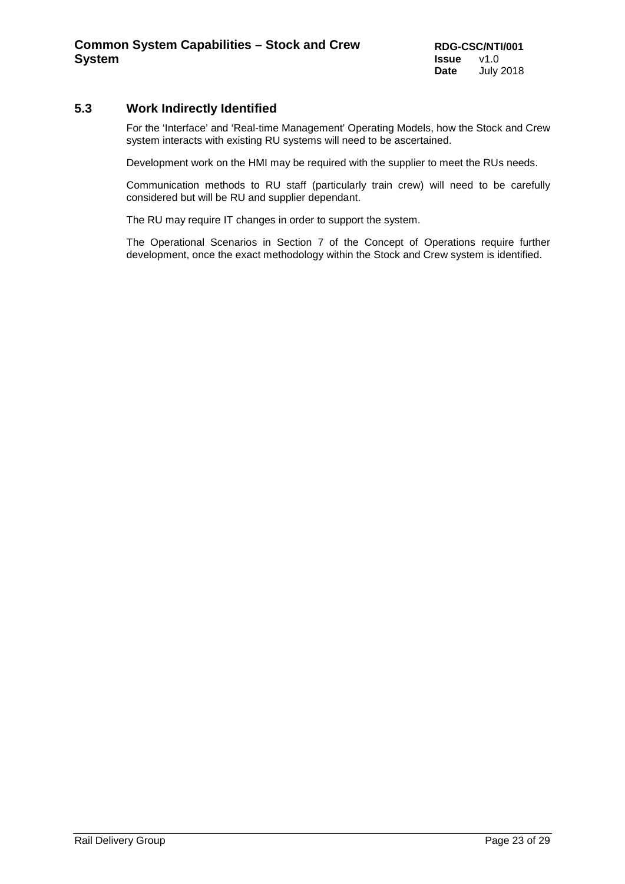#### <span id="page-22-0"></span>**5.3 Work Indirectly Identified**

For the 'Interface' and 'Real-time Management' Operating Models, how the Stock and Crew system interacts with existing RU systems will need to be ascertained.

Development work on the HMI may be required with the supplier to meet the RUs needs.

Communication methods to RU staff (particularly train crew) will need to be carefully considered but will be RU and supplier dependant.

The RU may require IT changes in order to support the system.

The Operational Scenarios in Section 7 of the Concept of Operations require further development, once the exact methodology within the Stock and Crew system is identified.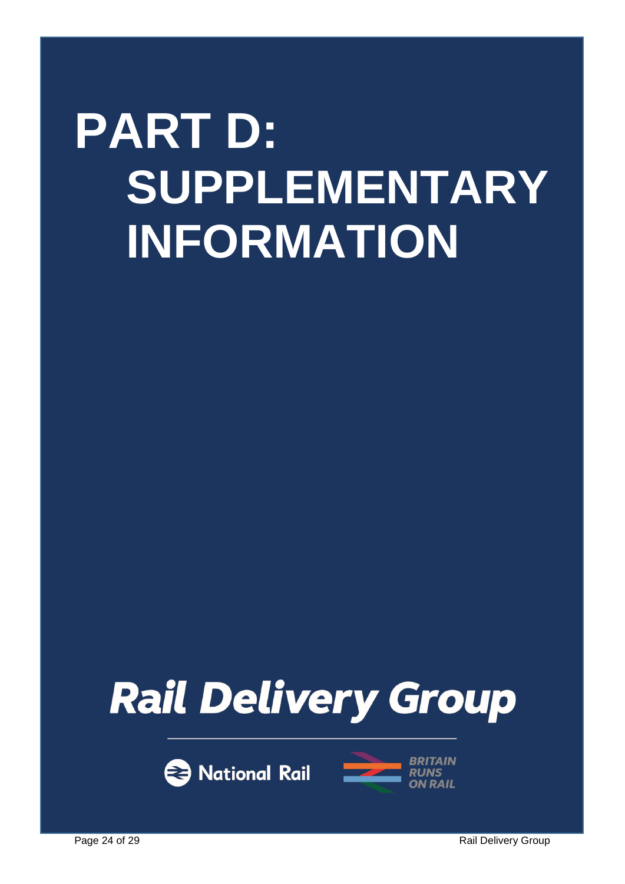## <span id="page-23-0"></span>**PART D: SUPPLEMENTARY INFORMATION**







Page 24 of 29 **Rail Delivery Group Page 24 of 29** Rail Delivery Group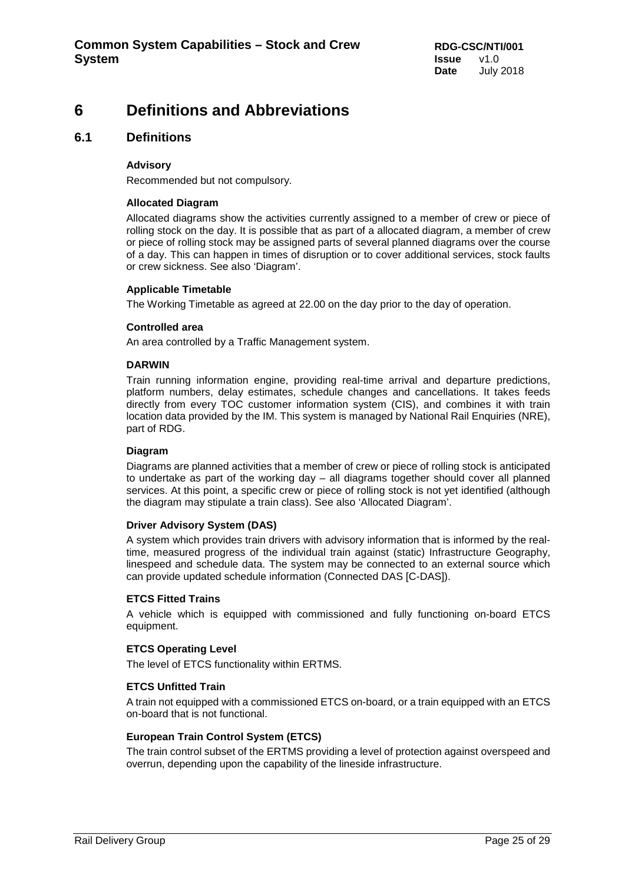## <span id="page-24-0"></span>**6 Definitions and Abbreviations**

#### <span id="page-24-1"></span>**6.1 Definitions**

#### **Advisory**

Recommended but not compulsory.

#### **Allocated Diagram**

Allocated diagrams show the activities currently assigned to a member of crew or piece of rolling stock on the day. It is possible that as part of a allocated diagram, a member of crew or piece of rolling stock may be assigned parts of several planned diagrams over the course of a day. This can happen in times of disruption or to cover additional services, stock faults or crew sickness. See also 'Diagram'.

#### **Applicable Timetable**

The Working Timetable as agreed at 22.00 on the day prior to the day of operation.

#### **Controlled area**

An area controlled by a Traffic Management system.

#### **DARWIN**

Train running information engine, providing real-time arrival and departure predictions, platform numbers, delay estimates, schedule changes and cancellations. It takes feeds directly from every TOC customer information system (CIS), and combines it with train location data provided by the IM. This system is managed by National Rail Enquiries (NRE), part of RDG.

#### **Diagram**

Diagrams are planned activities that a member of crew or piece of rolling stock is anticipated to undertake as part of the working day – all diagrams together should cover all planned services. At this point, a specific crew or piece of rolling stock is not yet identified (although the diagram may stipulate a train class). See also 'Allocated Diagram'.

#### **Driver Advisory System (DAS)**

A system which provides train drivers with advisory information that is informed by the realtime, measured progress of the individual train against (static) Infrastructure Geography, linespeed and schedule data. The system may be connected to an external source which can provide updated schedule information (Connected DAS [C-DAS]).

#### **ETCS Fitted Trains**

A vehicle which is equipped with commissioned and fully functioning on-board ETCS equipment.

#### **ETCS Operating Level**

The level of ETCS functionality within ERTMS.

#### **ETCS Unfitted Train**

A train not equipped with a commissioned ETCS on-board, or a train equipped with an ETCS on-board that is not functional.

#### **European Train Control System (ETCS)**

The train control subset of the ERTMS providing a level of protection against overspeed and overrun, depending upon the capability of the lineside infrastructure.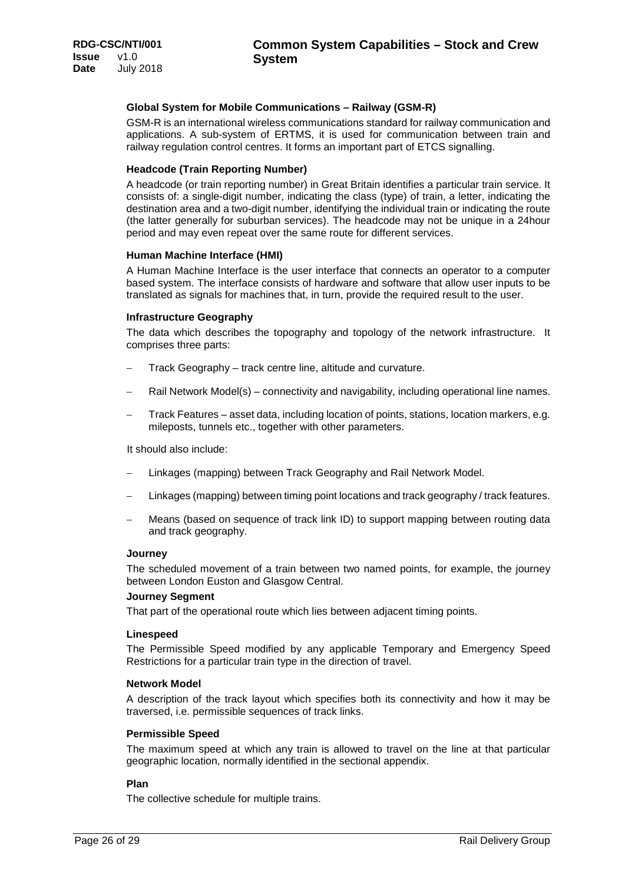#### **Global System for Mobile Communications – Railway (GSM-R)**

GSM-R is an international wireless communications standard for railway communication and applications. A sub-system of ERTMS, it is used for communication between train and railway regulation control centres. It forms an important part of ETCS signalling.

#### **Headcode (Train Reporting Number)**

A headcode (or train reporting number) in Great Britain identifies a particular train service. It consists of: a single-digit number, indicating the class (type) of train, a letter, indicating the destination area and a two-digit number, identifying the individual train or indicating the route (the latter generally for suburban services). The headcode may not be unique in a 24hour period and may even repeat over the same route for different services.

#### **Human Machine Interface (HMI)**

A Human Machine Interface is the user interface that connects an operator to a computer based system. The interface consists of hardware and software that allow user inputs to be translated as signals for machines that, in turn, provide the required result to the user.

#### **Infrastructure Geography**

The data which describes the topography and topology of the network infrastructure. It comprises three parts:

- − Track Geography track centre line, altitude and curvature.
- − Rail Network Model(s) connectivity and navigability, including operational line names.
- − Track Features asset data, including location of points, stations, location markers, e.g. mileposts, tunnels etc., together with other parameters.

It should also include:

- − Linkages (mapping) between Track Geography and Rail Network Model.
- − Linkages (mapping) between timing point locations and track geography / track features.
- Means (based on sequence of track link ID) to support mapping between routing data and track geography.

#### **Journey**

The scheduled movement of a train between two named points, for example, the journey between London Euston and Glasgow Central.

#### **Journey Segment**

That part of the operational route which lies between adjacent timing points.

#### **Linespeed**

The Permissible Speed modified by any applicable Temporary and Emergency Speed Restrictions for a particular train type in the direction of travel.

#### **Network Model**

A description of the track layout which specifies both its connectivity and how it may be traversed, i.e. permissible sequences of track links.

#### **Permissible Speed**

The maximum speed at which any train is allowed to travel on the line at that particular geographic location, normally identified in the sectional appendix.

#### **Plan**

The collective schedule for multiple trains.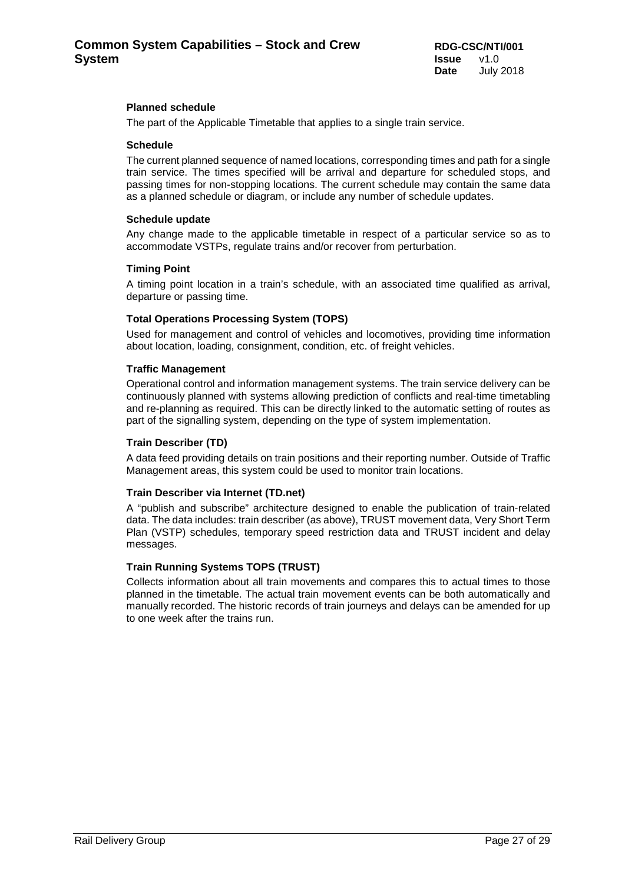#### **Planned schedule**

The part of the Applicable Timetable that applies to a single train service.

#### **Schedule**

The current planned sequence of named locations, corresponding times and path for a single train service. The times specified will be arrival and departure for scheduled stops, and passing times for non-stopping locations. The current schedule may contain the same data as a planned schedule or diagram, or include any number of schedule updates.

#### **Schedule update**

Any change made to the applicable timetable in respect of a particular service so as to accommodate VSTPs, regulate trains and/or recover from perturbation.

#### **Timing Point**

A timing point location in a train's schedule, with an associated time qualified as arrival, departure or passing time.

#### **Total Operations Processing System (TOPS)**

Used for management and control of vehicles and locomotives, providing time information about location, loading, consignment, condition, etc. of freight vehicles.

#### **Traffic Management**

Operational control and information management systems. The train service delivery can be continuously planned with systems allowing prediction of conflicts and real-time timetabling and re-planning as required. This can be directly linked to the automatic setting of routes as part of the signalling system, depending on the type of system implementation.

#### **Train Describer (TD)**

A data feed providing details on train positions and their reporting number. Outside of Traffic Management areas, this system could be used to monitor train locations.

#### **Train Describer via Internet (TD.net)**

A "publish and subscribe" architecture designed to enable the publication of train-related data. The data includes: train describer (as above), TRUST movement data, Very Short Term Plan (VSTP) schedules, temporary speed restriction data and TRUST incident and delay messages.

#### **Train Running Systems TOPS (TRUST)**

Collects information about all train movements and compares this to actual times to those planned in the timetable. The actual train movement events can be both automatically and manually recorded. The historic records of train journeys and delays can be amended for up to one week after the trains run.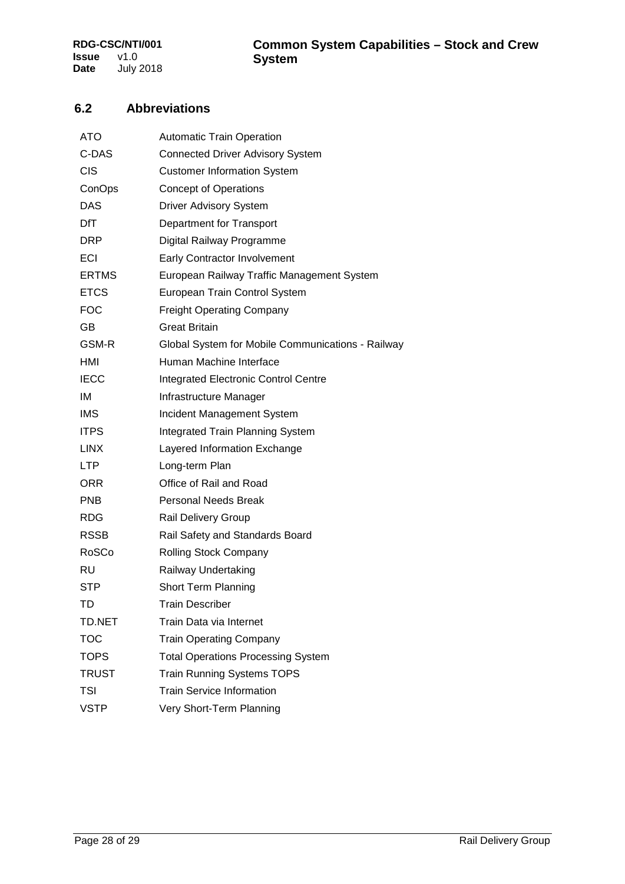### <span id="page-27-0"></span>**6.2 Abbreviations**

| ATO          | <b>Automatic Train Operation</b>                  |
|--------------|---------------------------------------------------|
| C-DAS        | <b>Connected Driver Advisory System</b>           |
| <b>CIS</b>   | <b>Customer Information System</b>                |
| ConOps       | <b>Concept of Operations</b>                      |
| <b>DAS</b>   | <b>Driver Advisory System</b>                     |
| DfT          | Department for Transport                          |
| DRP          | Digital Railway Programme                         |
| ECI          | <b>Early Contractor Involvement</b>               |
| <b>ERTMS</b> | European Railway Traffic Management System        |
| <b>ETCS</b>  | European Train Control System                     |
| <b>FOC</b>   | <b>Freight Operating Company</b>                  |
| GB           | <b>Great Britain</b>                              |
| GSM-R        | Global System for Mobile Communications - Railway |
| HMI          | Human Machine Interface                           |
| <b>IECC</b>  | <b>Integrated Electronic Control Centre</b>       |
| IМ           | Infrastructure Manager                            |
| <b>IMS</b>   | Incident Management System                        |
| <b>ITPS</b>  | Integrated Train Planning System                  |
| <b>LINX</b>  | Layered Information Exchange                      |
| LTP          | Long-term Plan                                    |
| ORR          | Office of Rail and Road                           |
| <b>PNB</b>   | <b>Personal Needs Break</b>                       |
| <b>RDG</b>   | Rail Delivery Group                               |
| RSSB         | Rail Safety and Standards Board                   |
| RoSCo        | <b>Rolling Stock Company</b>                      |
| RU           | Railway Undertaking                               |
| STP          | <b>Short Term Planning</b>                        |
| TD           | Train Describer                                   |
| TD.NET       | Train Data via Internet                           |
| <b>TOC</b>   | <b>Train Operating Company</b>                    |
| <b>TOPS</b>  | <b>Total Operations Processing System</b>         |
| TRUST        | <b>Train Running Systems TOPS</b>                 |
| TSI          | <b>Train Service Information</b>                  |
| <b>VSTP</b>  | Very Short-Term Planning                          |